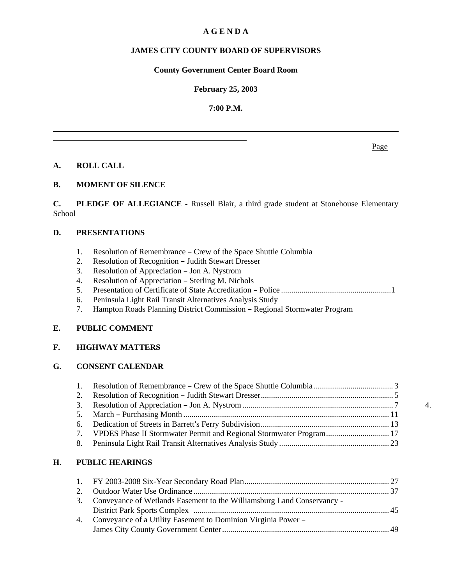### **A G E N D A**

### **JAMES CITY COUNTY BOARD OF SUPERVISORS**

### **County Government Center Board Room**

### **February 25, 2003**

### **7:00 P.M.**

**A. ROLL CALL**

### **B. MOMENT OF SILENCE**

**C. PLEDGE OF ALLEGIANCE -** Russell Blair, a third grade student at Stonehouse Elementary School

#### **D. PRESENTATIONS**

- 1. Resolution of Remembrance Crew of the Space Shuttle Columbia
- 2. Resolution of Recognition Judith Stewart Dresser
- 3. Resolution of Appreciation Jon A. Nystrom
- 4. Resolution of Appreciation Sterling M. Nichols
- 5. Presentation of Certificate of State Accreditation B Police ...................................................... 1
- 6. Peninsula Light Rail Transit Alternatives Analysis Study
- 7. Hampton Roads Planning District Commission Regional Stormwater Program

#### **E. PUBLIC COMMENT**

### **F. HIGHWAY MATTERS**

### **G. CONSENT CALENDAR**

|                                                                        | 4. |
|------------------------------------------------------------------------|----|
|                                                                        |    |
|                                                                        |    |
| 7. VPDES Phase II Stormwater Permit and Regional Stormwater Program 17 |    |
|                                                                        |    |

#### **H. PUBLIC HEARINGS**

| 3. Conveyance of Wetlands Easement to the Williamsburg Land Conservancy - |  |
|---------------------------------------------------------------------------|--|
|                                                                           |  |
| 4. Conveyance of a Utility Easement to Dominion Virginia Power –          |  |
|                                                                           |  |

Page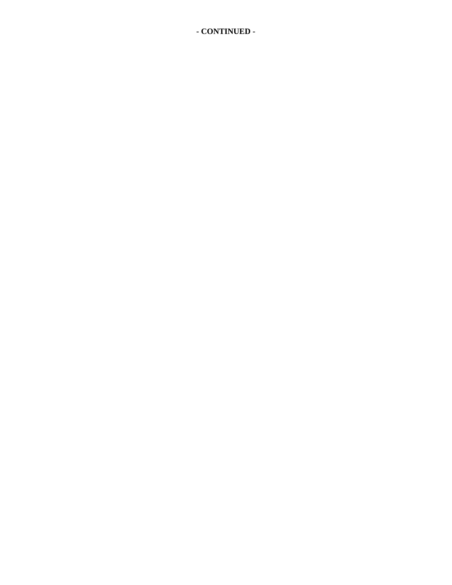**- CONTINUED -**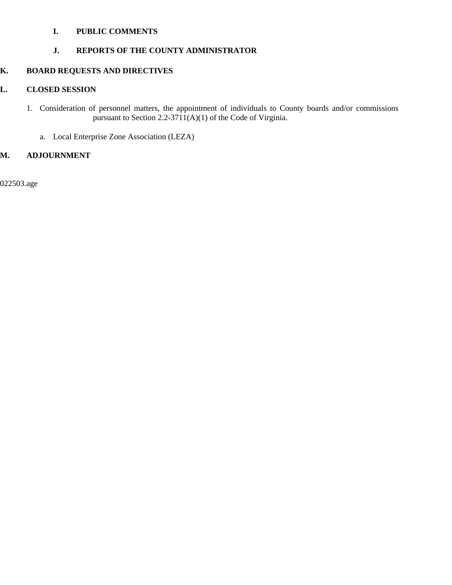### **I. PUBLIC COMMENTS**

### **J. REPORTS OF THE COUNTY ADMINISTRATOR**

### **K. BOARD REQUESTS AND DIRECTIVES**

### **L. CLOSED SESSION**

- 1. Consideration of personnel matters, the appointment of individuals to County boards and/or commissions pursuant to Section 2.2-3711(A)(1) of the Code of Virginia.
	- a. Local Enterprise Zone Association (LEZA)

### **M. ADJOURNMENT**

022503.age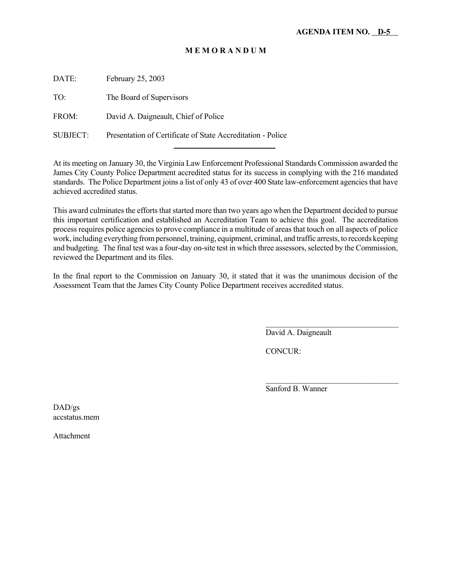DATE: February 25, 2003

TO: The Board of Supervisors

FROM: David A. Daigneault, Chief of Police

SUBJECT: Presentation of Certificate of State Accreditation - Police l

At its meeting on January 30, the Virginia Law Enforcement Professional Standards Commission awarded the James City County Police Department accredited status for its success in complying with the 216 mandated standards. The Police Department joins a list of only 43 of over 400 State law-enforcement agencies that have achieved accredited status.

This award culminates the efforts that started more than two years ago when the Department decided to pursue this important certification and established an Accreditation Team to achieve this goal. The accreditation process requires police agencies to prove compliance in a multitude of areas that touch on all aspects of police work, including everything from personnel, training, equipment, criminal, and traffic arrests, to records keeping and budgeting. The final test was a four-day on-site test in which three assessors, selected by the Commission, reviewed the Department and its files.

In the final report to the Commission on January 30, it stated that it was the unanimous decision of the Assessment Team that the James City County Police Department receives accredited status.

David A. Daigneault

 $\mathcal{L}_\text{max}$ 

 $\overline{\phantom{a}}$  , where  $\overline{\phantom{a}}$  , where  $\overline{\phantom{a}}$  , where  $\overline{\phantom{a}}$ 

CONCUR:

Sanford B. Wanner

DAD/gs accstatus.mem

Attachment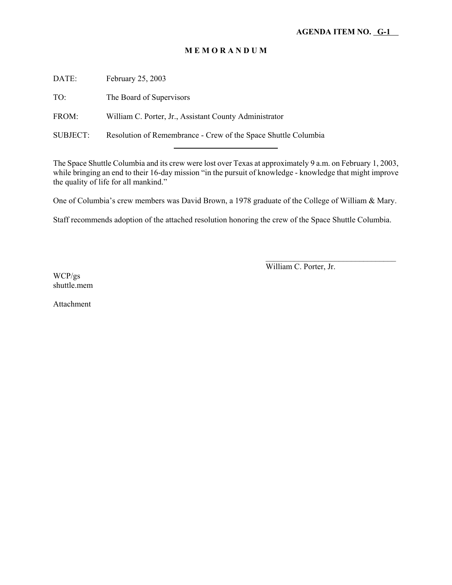DATE: February 25, 2003

TO: The Board of Supervisors

FROM: William C. Porter, Jr., Assistant County Administrator

l

SUBJECT: Resolution of Remembrance - Crew of the Space Shuttle Columbia

The Space Shuttle Columbia and its crew were lost over Texas at approximately 9 a.m. on February 1, 2003, while bringing an end to their 16-day mission "in the pursuit of knowledge - knowledge that might improve the quality of life for all mankind."

One of Columbia's crew members was David Brown, a 1978 graduate of the College of William & Mary.

Staff recommends adoption of the attached resolution honoring the crew of the Space Shuttle Columbia.

William C. Porter, Jr.

 $\overline{\phantom{a}}$  , where  $\overline{\phantom{a}}$  , where  $\overline{\phantom{a}}$  , where  $\overline{\phantom{a}}$ 

WCP/gs shuttle.mem

Attachment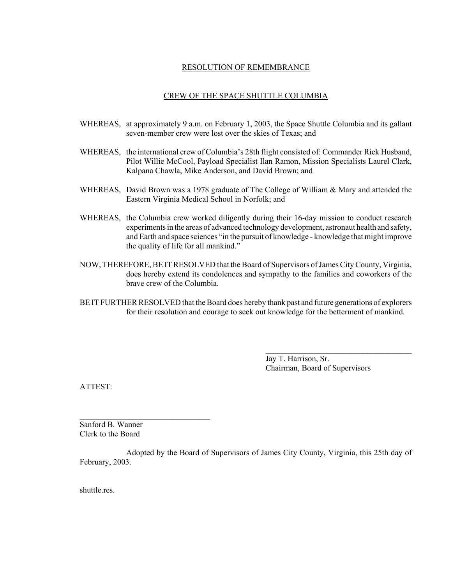### RESOLUTION OF REMEMBRANCE

#### CREW OF THE SPACE SHUTTLE COLUMBIA

- WHEREAS, at approximately 9 a.m. on February 1, 2003, the Space Shuttle Columbia and its gallant seven-member crew were lost over the skies of Texas; and
- WHEREAS, the international crew of Columbia's 28th flight consisted of: Commander Rick Husband, Pilot Willie McCool, Payload Specialist Ilan Ramon, Mission Specialists Laurel Clark, Kalpana Chawla, Mike Anderson, and David Brown; and
- WHEREAS, David Brown was a 1978 graduate of The College of William & Mary and attended the Eastern Virginia Medical School in Norfolk; and
- WHEREAS, the Columbia crew worked diligently during their 16-day mission to conduct research experiments in the areas of advanced technology development, astronaut health and safety, and Earth and space sciences "in the pursuit of knowledge - knowledge that might improve the quality of life for all mankind."
- NOW, THEREFORE, BE IT RESOLVED that the Board of Supervisors of James City County, Virginia, does hereby extend its condolences and sympathy to the families and coworkers of the brave crew of the Columbia.
- BE IT FURTHER RESOLVED that the Board does hereby thank past and future generations of explorers for their resolution and courage to seek out knowledge for the betterment of mankind.

Jay T. Harrison, Sr. Chairman, Board of Supervisors

 $\mathcal{L}_\text{max}$ 

ATTEST:

Sanford B. Wanner Clerk to the Board

 $\mathcal{L}_\text{max}$  , where  $\mathcal{L}_\text{max}$  is the set of the set of the set of the set of the set of the set of the set of the set of the set of the set of the set of the set of the set of the set of the set of the set of the se

Adopted by the Board of Supervisors of James City County, Virginia, this 25th day of February, 2003.

shuttle.res.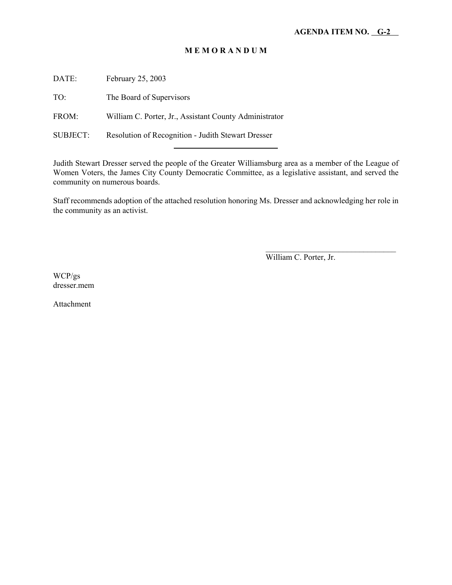DATE: February 25, 2003

TO: The Board of Supervisors

FROM: William C. Porter, Jr., Assistant County Administrator

l

SUBJECT: Resolution of Recognition - Judith Stewart Dresser

Judith Stewart Dresser served the people of the Greater Williamsburg area as a member of the League of Women Voters, the James City County Democratic Committee, as a legislative assistant, and served the community on numerous boards.

Staff recommends adoption of the attached resolution honoring Ms. Dresser and acknowledging her role in the community as an activist.

William C. Porter, Jr.

 $\overline{\phantom{a}}$  , where  $\overline{\phantom{a}}$  , where  $\overline{\phantom{a}}$  , where  $\overline{\phantom{a}}$ 

WCP/gs dresser.mem

Attachment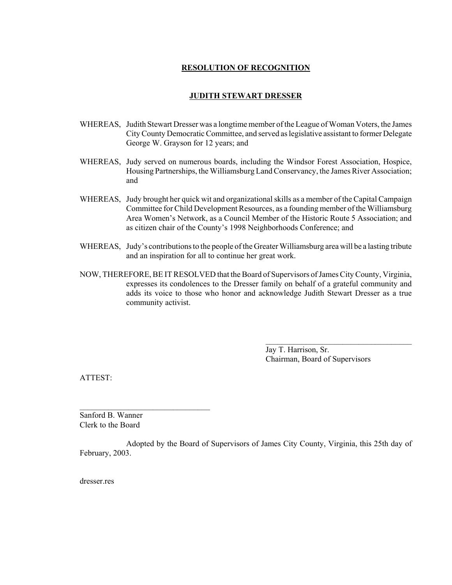### **RESOLUTION OF RECOGNITION**

### **JUDITH STEWART DRESSER**

- WHEREAS, Judith Stewart Dresser was a longtime member of the League of Woman Voters, the James City County Democratic Committee, and served as legislative assistant to former Delegate George W. Grayson for 12 years; and
- WHEREAS, Judy served on numerous boards, including the Windsor Forest Association, Hospice, Housing Partnerships, the Williamsburg Land Conservancy, the James River Association; and
- WHEREAS, Judy brought her quick wit and organizational skills as a member of the Capital Campaign Committee for Child Development Resources, as a founding member of the Williamsburg Area Women's Network, as a Council Member of the Historic Route 5 Association; and as citizen chair of the County's 1998 Neighborhoods Conference; and
- WHEREAS, Judy's contributions to the people of the Greater Williamsburg area will be a lasting tribute and an inspiration for all to continue her great work.
- NOW, THEREFORE, BE IT RESOLVED that the Board of Supervisors of James City County, Virginia, expresses its condolences to the Dresser family on behalf of a grateful community and adds its voice to those who honor and acknowledge Judith Stewart Dresser as a true community activist.

Jay T. Harrison, Sr. Chairman, Board of Supervisors

 $\mathcal{L}_\text{max}$ 

ATTEST:

Sanford B. Wanner Clerk to the Board

 $\mathcal{L}_\text{max}$  , where  $\mathcal{L}_\text{max}$  is the set of the set of the set of the set of the set of the set of the set of the set of the set of the set of the set of the set of the set of the set of the set of the set of the se

Adopted by the Board of Supervisors of James City County, Virginia, this 25th day of February, 2003.

dresser res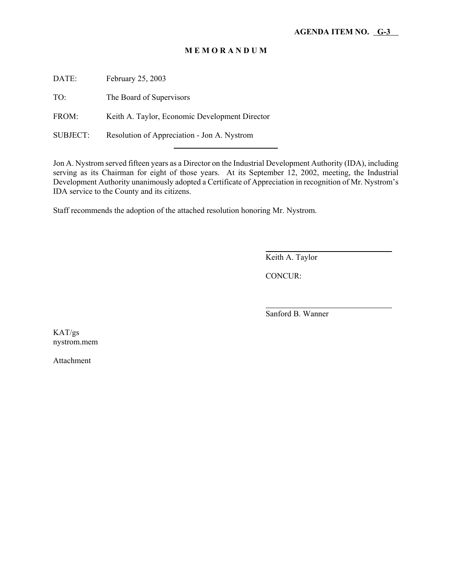DATE: February 25, 2003

TO: The Board of Supervisors

FROM: Keith A. Taylor, Economic Development Director

l

SUBJECT: Resolution of Appreciation - Jon A. Nystrom

Jon A. Nystrom served fifteen years as a Director on the Industrial Development Authority (IDA), including serving as its Chairman for eight of those years. At its September 12, 2002, meeting, the Industrial Development Authority unanimously adopted a Certificate of Appreciation in recognition of Mr. Nystrom's IDA service to the County and its citizens.

Staff recommends the adoption of the attached resolution honoring Mr. Nystrom.

Keith A. Taylor

CONCUR:

 $\overline{a}$ 

l

Sanford B. Wanner

KAT/gs nystrom.mem

Attachment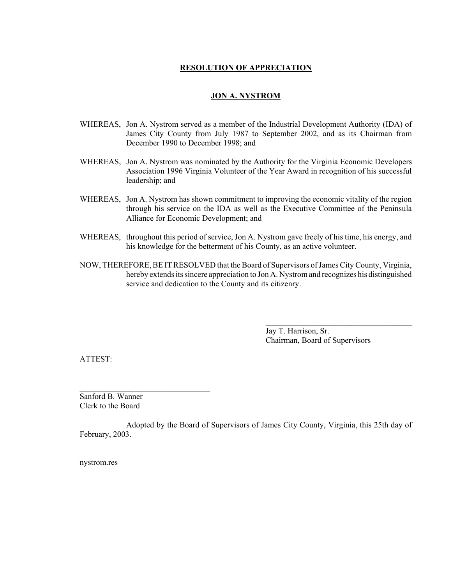### **RESOLUTION OF APPRECIATION**

### **JON A. NYSTROM**

- WHEREAS, Jon A. Nystrom served as a member of the Industrial Development Authority (IDA) of James City County from July 1987 to September 2002, and as its Chairman from December 1990 to December 1998; and
- WHEREAS, Jon A. Nystrom was nominated by the Authority for the Virginia Economic Developers Association 1996 Virginia Volunteer of the Year Award in recognition of his successful leadership; and
- WHEREAS, Jon A. Nystrom has shown commitment to improving the economic vitality of the region through his service on the IDA as well as the Executive Committee of the Peninsula Alliance for Economic Development; and
- WHEREAS, throughout this period of service, Jon A. Nystrom gave freely of his time, his energy, and his knowledge for the betterment of his County, as an active volunteer.
- NOW, THEREFORE, BE IT RESOLVED that the Board of Supervisors of James City County, Virginia, hereby extends its sincere appreciation to Jon A. Nystrom and recognizes his distinguished service and dedication to the County and its citizenry.

Jay T. Harrison, Sr. Chairman, Board of Supervisors

 $\mathcal{L}_\text{max}$ 

ATTEST:

Sanford B. Wanner Clerk to the Board

 $\mathcal{L}_\text{max}$ 

Adopted by the Board of Supervisors of James City County, Virginia, this 25th day of February, 2003.

nystrom.res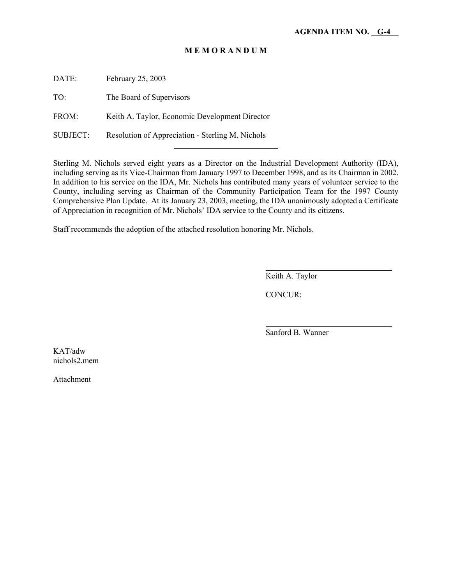DATE: February 25, 2003

TO: The Board of Supervisors

FROM: Keith A. Taylor, Economic Development Director

SUBJECT: Resolution of Appreciation - Sterling M. Nichols

l

Sterling M. Nichols served eight years as a Director on the Industrial Development Authority (IDA), including serving as its Vice-Chairman from January 1997 to December 1998, and as its Chairman in 2002. In addition to his service on the IDA, Mr. Nichols has contributed many years of volunteer service to the County, including serving as Chairman of the Community Participation Team for the 1997 County Comprehensive Plan Update. At its January 23, 2003, meeting, the IDA unanimously adopted a Certificate of Appreciation in recognition of Mr. Nichols' IDA service to the County and its citizens.

Staff recommends the adoption of the attached resolution honoring Mr. Nichols.

Keith A. Taylor

CONCUR:

 $\overline{a}$ 

l

Sanford B. Wanner

KAT/adw nichols2.mem

Attachment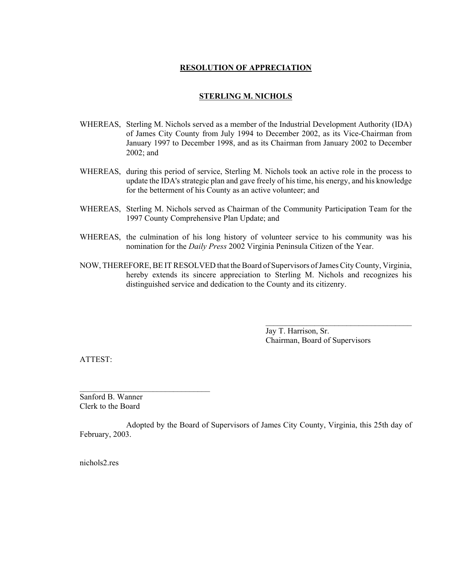### **RESOLUTION OF APPRECIATION**

#### **STERLING M. NICHOLS**

- WHEREAS, Sterling M. Nichols served as a member of the Industrial Development Authority (IDA) of James City County from July 1994 to December 2002, as its Vice-Chairman from January 1997 to December 1998, and as its Chairman from January 2002 to December 2002; and
- WHEREAS, during this period of service, Sterling M. Nichols took an active role in the process to update the IDA's strategic plan and gave freely of his time, his energy, and his knowledge for the betterment of his County as an active volunteer; and
- WHEREAS, Sterling M. Nichols served as Chairman of the Community Participation Team for the 1997 County Comprehensive Plan Update; and
- WHEREAS, the culmination of his long history of volunteer service to his community was his nomination for the *Daily Press* 2002 Virginia Peninsula Citizen of the Year.
- NOW, THEREFORE, BE IT RESOLVED that the Board of Supervisors of James City County, Virginia, hereby extends its sincere appreciation to Sterling M. Nichols and recognizes his distinguished service and dedication to the County and its citizenry.

Jay T. Harrison, Sr. Chairman, Board of Supervisors

ATTEST:

Sanford B. Wanner Clerk to the Board

 $\mathcal{L}_\text{max}$  , where  $\mathcal{L}_\text{max}$  is the set of the set of the set of the set of the set of the set of the set of the set of the set of the set of the set of the set of the set of the set of the set of the set of the se

Adopted by the Board of Supervisors of James City County, Virginia, this 25th day of February, 2003.

nichols2.res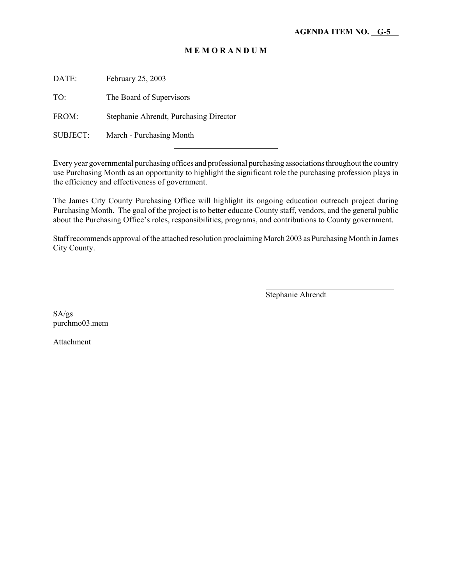DATE: February 25, 2003

TO: The Board of Supervisors

FROM: Stephanie Ahrendt, Purchasing Director

l

SUBJECT: March - Purchasing Month

Every year governmental purchasing offices and professional purchasing associations throughout the country use Purchasing Month as an opportunity to highlight the significant role the purchasing profession plays in the efficiency and effectiveness of government.

The James City County Purchasing Office will highlight its ongoing education outreach project during Purchasing Month. The goal of the project is to better educate County staff, vendors, and the general public about the Purchasing Office's roles, responsibilities, programs, and contributions to County government.

Staff recommends approval of the attached resolution proclaiming March 2003 as Purchasing Month in James City County.

Stephanie Ahrendt

 $\overline{a}$ 

SA/gs purchmo03.mem

Attachment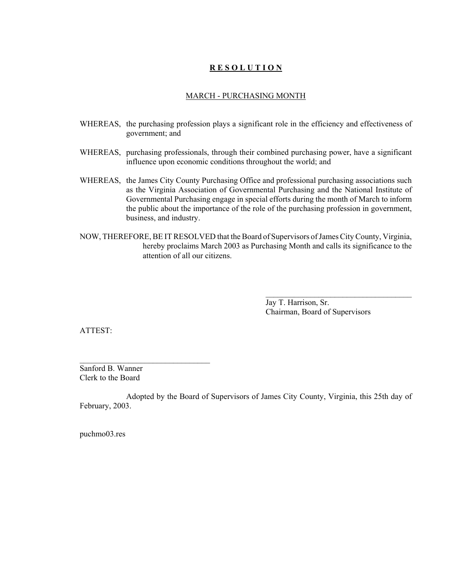### **R E S O L U T I O N**

### MARCH - PURCHASING MONTH

- WHEREAS, the purchasing profession plays a significant role in the efficiency and effectiveness of government; and
- WHEREAS, purchasing professionals, through their combined purchasing power, have a significant influence upon economic conditions throughout the world; and
- WHEREAS, the James City County Purchasing Office and professional purchasing associations such as the Virginia Association of Governmental Purchasing and the National Institute of Governmental Purchasing engage in special efforts during the month of March to inform the public about the importance of the role of the purchasing profession in government, business, and industry.
- NOW, THEREFORE, BE IT RESOLVED that the Board of Supervisors of James City County, Virginia, hereby proclaims March 2003 as Purchasing Month and calls its significance to the attention of all our citizens.

Jay T. Harrison, Sr. Chairman, Board of Supervisors

 $\mathcal{L}_\text{max}$ 

ATTEST:

Sanford B. Wanner Clerk to the Board

Adopted by the Board of Supervisors of James City County, Virginia, this 25th day of February, 2003.

puchmo03.res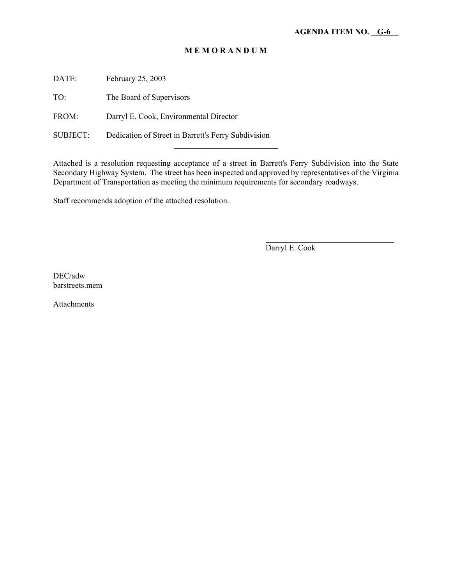DATE: February 25, 2003

TO: The Board of Supervisors

FROM: Darryl E. Cook, Environmental Director

SUBJECT: Dedication of Street in Barrett's Ferry Subdivision

l

Attached is a resolution requesting acceptance of a street in Barrett's Ferry Subdivision into the State Secondary Highway System. The street has been inspected and approved by representatives of the Virginia Department of Transportation as meeting the minimum requirements for secondary roadways.

Staff recommends adoption of the attached resolution.

Darryl E. Cook

 $\overline{a}$ 

DEC/adw barstreets.mem

Attachments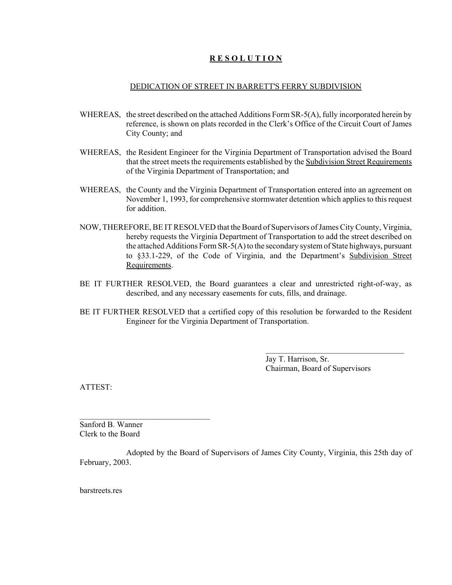### **R E S O L U T I O N**

#### DEDICATION OF STREET IN BARRETT'S FERRY SUBDIVISION

- WHEREAS, the street described on the attached Additions Form SR-5(A), fully incorporated herein by reference, is shown on plats recorded in the Clerk's Office of the Circuit Court of James City County; and
- WHEREAS, the Resident Engineer for the Virginia Department of Transportation advised the Board that the street meets the requirements established by the Subdivision Street Requirements of the Virginia Department of Transportation; and
- WHEREAS, the County and the Virginia Department of Transportation entered into an agreement on November 1, 1993, for comprehensive stormwater detention which applies to this request for addition.
- NOW, THEREFORE, BE IT RESOLVED that the Board of Supervisors of James City County, Virginia, hereby requests the Virginia Department of Transportation to add the street described on the attached Additions Form SR-5(A) to the secondary system of State highways, pursuant to §33.1-229, of the Code of Virginia, and the Department's Subdivision Street Requirements.
- BE IT FURTHER RESOLVED, the Board guarantees a clear and unrestricted right-of-way, as described, and any necessary easements for cuts, fills, and drainage.
- BE IT FURTHER RESOLVED that a certified copy of this resolution be forwarded to the Resident Engineer for the Virginia Department of Transportation.

Jay T. Harrison, Sr. Chairman, Board of Supervisors

 $\overline{\phantom{a}}$  , where  $\overline{\phantom{a}}$  , where  $\overline{\phantom{a}}$  , where  $\overline{\phantom{a}}$ 

ATTEST:

Sanford B. Wanner Clerk to the Board

 $\mathcal{L}_\text{max}$ 

Adopted by the Board of Supervisors of James City County, Virginia, this 25th day of February, 2003.

barstreets res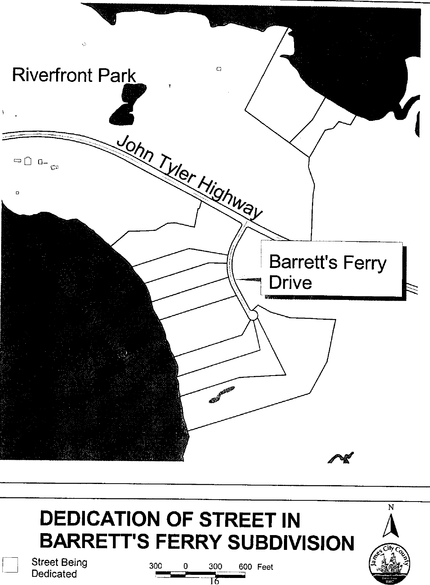

# **DEDICATION OF STREET IN BARRETT'S FERRY SUBDIVISION**

300



N

**Street Being** Dedicated

600 Feet 0 300

тБ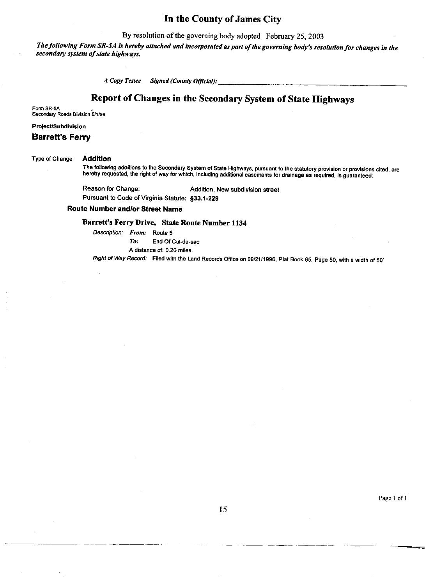### In the County of James City

By resolution of the governing body adopted February 25, 2003

The following Form SR-5A is hereby attached and incorporated as part of the governing body's resolution for changes in the secondary system of state highways.

> A Copy Testee **Signed (County Official):**

### Report of Changes in the Secondary System of State Highways

Form SR-5A Secondary Roads Division 5/1/99

#### Project/Subdivision

### **Barrett's Ferry**

#### **Addition** Type of Change:

The following additions to the Secondary System of State Highways, pursuant to the statutory provision or provisions cited, are hereby requested, the right of way for which, including additional easements for drainage as required, is guaranteed:

Reason for Change: Addition, New subdivision street Pursuant to Code of Virginia Statute: §33.1-229

#### **Route Number and/or Street Name**

### Barrett's Ferry Drive, State Route Number 1134

Description: From: Route 5  $To:$ 

End Of Cul-de-sac A distance of: 0.20 miles.

Right of Way Record: Filed with the Land Records Office on 09/21/1996, Plat Book 65, Page 50, with a width of 50'

Page 1 of 1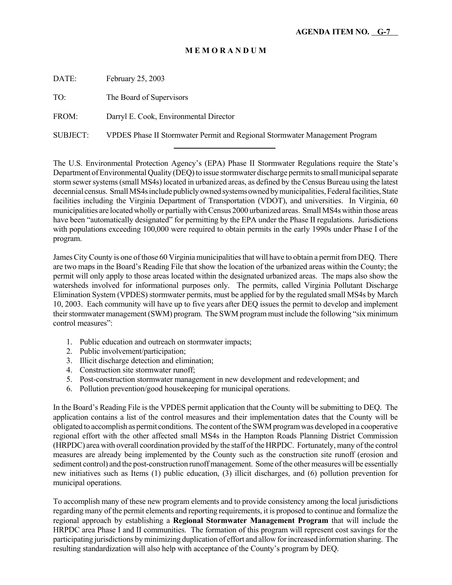DATE: February 25, 2003

TO: The Board of Supervisors

FROM: Darryl E. Cook, Environmental Director

l

SUBJECT: VPDES Phase II Stormwater Permit and Regional Stormwater Management Program

The U.S. Environmental Protection Agency's (EPA) Phase II Stormwater Regulations require the State's Department of Environmental Quality (DEQ) to issue stormwater discharge permits to small municipal separate storm sewer systems (small MS4s) located in urbanized areas, as defined by the Census Bureau using the latest decennial census. Small MS4s include publicly owned systems owned by municipalities, Federal facilities, State facilities including the Virginia Department of Transportation (VDOT), and universities. In Virginia, 60 municipalities are located wholly or partially with Census 2000 urbanized areas. Small MS4s within those areas have been "automatically designated" for permitting by the EPA under the Phase II regulations. Jurisdictions with populations exceeding 100,000 were required to obtain permits in the early 1990s under Phase I of the program.

James City County is one of those 60 Virginia municipalities that will have to obtain a permit from DEQ. There are two maps in the Board's Reading File that show the location of the urbanized areas within the County; the permit will only apply to those areas located within the designated urbanized areas. The maps also show the watersheds involved for informational purposes only. The permits, called Virginia Pollutant Discharge Elimination System (VPDES) stormwater permits, must be applied for by the regulated small MS4s by March 10, 2003. Each community will have up to five years after DEQ issues the permit to develop and implement their stormwater management (SWM) program. The SWM program must include the following "six minimum control measures":

- 1. Public education and outreach on stormwater impacts;
- 2. Public involvement/participation;
- 3. Illicit discharge detection and elimination;
- 4. Construction site stormwater runoff;
- 5. Post-construction stormwater management in new development and redevelopment; and
- 6. Pollution prevention/good housekeeping for municipal operations.

In the Board's Reading File is the VPDES permit application that the County will be submitting to DEQ. The application contains a list of the control measures and their implementation dates that the County will be obligated to accomplish as permit conditions. The content of the SWM program was developed in a cooperative regional effort with the other affected small MS4s in the Hampton Roads Planning District Commission (HRPDC) area with overall coordination provided by the staff of the HRPDC. Fortunately, many of the control measures are already being implemented by the County such as the construction site runoff (erosion and sediment control) and the post-construction runoff management. Some of the other measures will be essentially new initiatives such as Items (1) public education, (3) illicit discharges, and (6) pollution prevention for municipal operations.

To accomplish many of these new program elements and to provide consistency among the local jurisdictions regarding many of the permit elements and reporting requirements, it is proposed to continue and formalize the regional approach by establishing a **Regional Stormwater Management Program** that will include the HRPDC area Phase I and II communities. The formation of this program will represent cost savings for the participating jurisdictions by minimizing duplication of effort and allow for increased information sharing. The resulting standardization will also help with acceptance of the County's program by DEQ.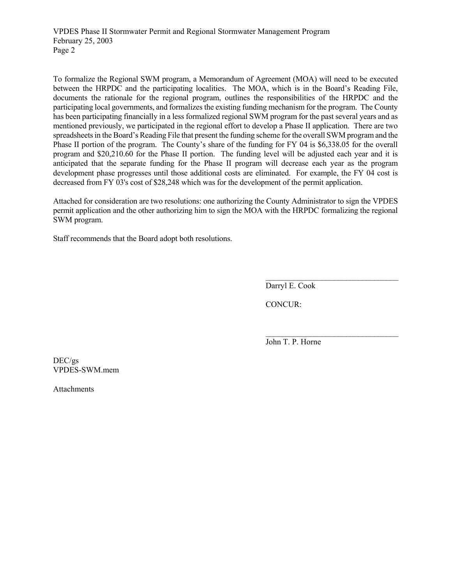VPDES Phase II Stormwater Permit and Regional Stormwater Management Program February 25, 2003 Page 2

To formalize the Regional SWM program, a Memorandum of Agreement (MOA) will need to be executed between the HRPDC and the participating localities. The MOA, which is in the Board's Reading File, documents the rationale for the regional program, outlines the responsibilities of the HRPDC and the participating local governments, and formalizes the existing funding mechanism for the program. The County has been participating financially in a less formalized regional SWM program for the past several years and as mentioned previously, we participated in the regional effort to develop a Phase II application. There are two spreadsheets in the Board's Reading File that present the funding scheme for the overall SWM program and the Phase II portion of the program. The County's share of the funding for FY 04 is \$6,338.05 for the overall program and \$20,210.60 for the Phase II portion. The funding level will be adjusted each year and it is anticipated that the separate funding for the Phase II program will decrease each year as the program development phase progresses until those additional costs are eliminated. For example, the FY 04 cost is decreased from FY 03's cost of \$28,248 which was for the development of the permit application.

Attached for consideration are two resolutions: one authorizing the County Administrator to sign the VPDES permit application and the other authorizing him to sign the MOA with the HRPDC formalizing the regional SWM program.

Staff recommends that the Board adopt both resolutions.

Darryl E. Cook

 $\mathcal{L}_\text{max}$ 

 $\mathcal{L}_\text{max}$ 

CONCUR:

John T. P. Horne

DEC/gs VPDES-SWM.mem

Attachments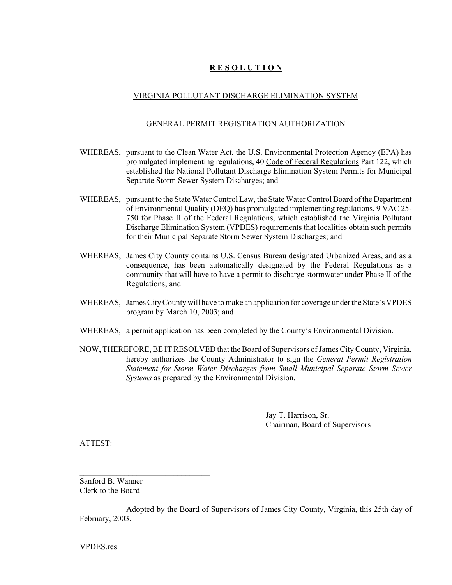### **R E S O L U T I O N**

### VIRGINIA POLLUTANT DISCHARGE ELIMINATION SYSTEM

#### GENERAL PERMIT REGISTRATION AUTHORIZATION

- WHEREAS, pursuant to the Clean Water Act, the U.S. Environmental Protection Agency (EPA) has promulgated implementing regulations, 40 Code of Federal Regulations Part 122, which established the National Pollutant Discharge Elimination System Permits for Municipal Separate Storm Sewer System Discharges; and
- WHEREAS, pursuant to the State Water Control Law, the State Water Control Board of the Department of Environmental Quality (DEQ) has promulgated implementing regulations, 9 VAC 25- 750 for Phase II of the Federal Regulations, which established the Virginia Pollutant Discharge Elimination System (VPDES) requirements that localities obtain such permits for their Municipal Separate Storm Sewer System Discharges; and
- WHEREAS, James City County contains U.S. Census Bureau designated Urbanized Areas, and as a consequence, has been automatically designated by the Federal Regulations as a community that will have to have a permit to discharge stormwater under Phase II of the Regulations; and
- WHEREAS, James City County will have to make an application for coverage under the State's VPDES program by March 10, 2003; and
- WHEREAS, a permit application has been completed by the County's Environmental Division.
- NOW, THEREFORE, BE IT RESOLVED that the Board of Supervisors of James City County, Virginia, hereby authorizes the County Administrator to sign the *General Permit Registration Statement for Storm Water Discharges from Small Municipal Separate Storm Sewer Systems* as prepared by the Environmental Division.

Jay T. Harrison, Sr. Chairman, Board of Supervisors

 $\mathcal{L}_\text{max}$ 

ATTEST:

Sanford B. Wanner Clerk to the Board

 $\mathcal{L}_\text{max}$ 

Adopted by the Board of Supervisors of James City County, Virginia, this 25th day of February, 2003.

VPDES.res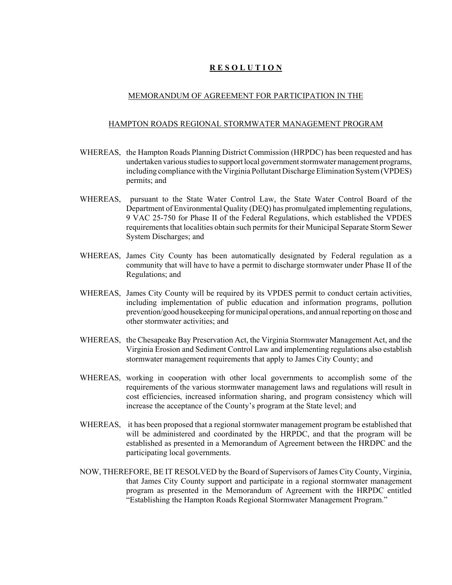### **R E S O L U T I O N**

### MEMORANDUM OF AGREEMENT FOR PARTICIPATION IN THE

#### HAMPTON ROADS REGIONAL STORMWATER MANAGEMENT PROGRAM

- WHEREAS, the Hampton Roads Planning District Commission (HRPDC) has been requested and has undertaken various studies to support local government stormwater management programs, including compliance with the Virginia Pollutant Discharge Elimination System (VPDES) permits; and
- WHEREAS, pursuant to the State Water Control Law, the State Water Control Board of the Department of Environmental Quality (DEQ) has promulgated implementing regulations, 9 VAC 25-750 for Phase II of the Federal Regulations, which established the VPDES requirements that localities obtain such permits for their Municipal Separate Storm Sewer System Discharges; and
- WHEREAS, James City County has been automatically designated by Federal regulation as a community that will have to have a permit to discharge stormwater under Phase II of the Regulations; and
- WHEREAS, James City County will be required by its VPDES permit to conduct certain activities, including implementation of public education and information programs, pollution prevention/good housekeeping for municipal operations, and annual reporting on those and other stormwater activities; and
- WHEREAS, the Chesapeake Bay Preservation Act, the Virginia Stormwater Management Act, and the Virginia Erosion and Sediment Control Law and implementing regulations also establish stormwater management requirements that apply to James City County; and
- WHEREAS, working in cooperation with other local governments to accomplish some of the requirements of the various stormwater management laws and regulations will result in cost efficiencies, increased information sharing, and program consistency which will increase the acceptance of the County's program at the State level; and
- WHEREAS, it has been proposed that a regional stormwater management program be established that will be administered and coordinated by the HRPDC, and that the program will be established as presented in a Memorandum of Agreement between the HRDPC and the participating local governments.
- NOW, THEREFORE, BE IT RESOLVED by the Board of Supervisors of James City County, Virginia, that James City County support and participate in a regional stormwater management program as presented in the Memorandum of Agreement with the HRPDC entitled "Establishing the Hampton Roads Regional Stormwater Management Program."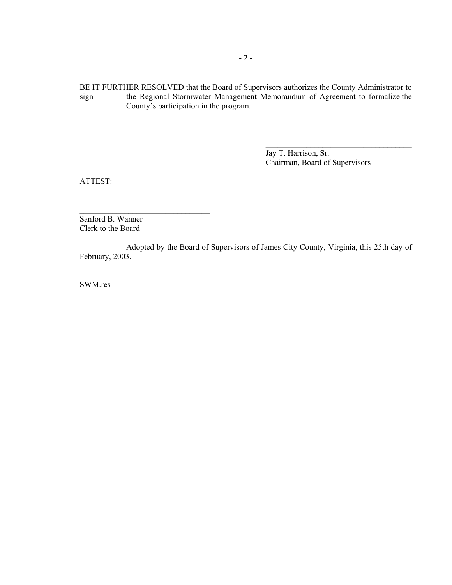BE IT FURTHER RESOLVED that the Board of Supervisors authorizes the County Administrator to sign the Regional Stormwater Management Memorandum of Agreement to formalize the County's participation in the program.

> Jay T. Harrison, Sr. Chairman, Board of Supervisors

 $\mathcal{L}_\text{max}$  , where  $\mathcal{L}_\text{max}$  is the set of  $\mathcal{L}_\text{max}$ 

ATTEST:

Sanford B. Wanner Clerk to the Board

 $\mathcal{L}_\text{max}$ 

Adopted by the Board of Supervisors of James City County, Virginia, this 25th day of February, 2003.

SWM.res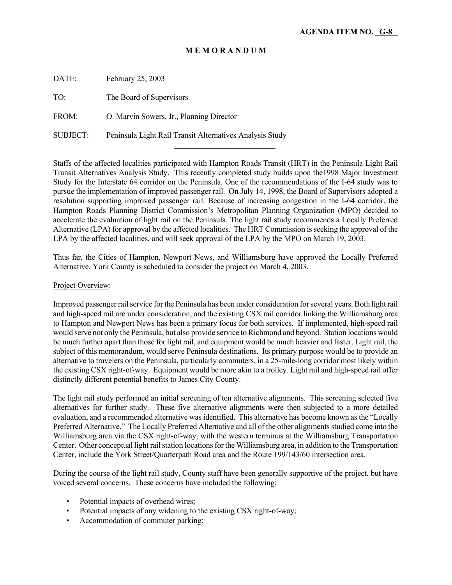DATE: February 25, 2003

TO: The Board of Supervisors

FROM: O. Marvin Sowers, Jr., Planning Director

SUBJECT: Peninsula Light Rail Transit Alternatives Analysis Study l

Staffs of the affected localities participated with Hampton Roads Transit (HRT) in the Peninsula Light Rail Transit Alternatives Analysis Study. This recently completed study builds upon the1998 Major Investment Study for the Interstate 64 corridor on the Peninsula. One of the recommendations of the I-64 study was to pursue the implementation of improved passenger rail. On July 14, 1998, the Board of Supervisors adopted a resolution supporting improved passenger rail. Because of increasing congestion in the I-64 corridor, the Hampton Roads Planning District Commission's Metropolitan Planning Organization (MPO) decided to accelerate the evaluation of light rail on the Peninsula. The light rail study recommends a Locally Preferred Alternative (LPA) for approval by the affected localities. The HRT Commission is seeking the approval of the LPA by the affected localities, and will seek approval of the LPA by the MPO on March 19, 2003.

Thus far, the Cities of Hampton, Newport News, and Williamsburg have approved the Locally Preferred Alternative. York County is scheduled to consider the project on March 4, 2003.

#### Project Overview:

Improved passenger rail service for the Peninsula has been under consideration for several years. Both light rail and high-speed rail are under consideration, and the existing CSX rail corridor linking the Williamsburg area to Hampton and Newport News has been a primary focus for both services. If implemented, high-speed rail would serve not only the Peninsula, but also provide service to Richmond and beyond. Station locations would be much further apart than those for light rail, and equipment would be much heavier and faster. Light rail, the subject of this memorandum, would serve Peninsula destinations. Its primary purpose would be to provide an alternative to travelers on the Peninsula, particularly commuters, in a 25-mile-long corridor most likely within the existing CSX right-of-way. Equipment would be more akin to a trolley. Light rail and high-speed rail offer distinctly different potential benefits to James City County.

The light rail study performed an initial screening of ten alternative alignments. This screening selected five alternatives for further study. These five alternative alignments were then subjected to a more detailed evaluation, and a recommended alternative was identified. This alternative has become known as the "Locally Preferred Alternative." The Locally Preferred Alternative and all of the other alignments studied come into the Williamsburg area via the CSX right-of-way, with the western terminus at the Williamsburg Transportation Center. Other conceptual light rail station locations for the Williamsburg area, in addition to the Transportation Center, include the York Street/Quarterpath Road area and the Route 199/143/60 intersection area.

During the course of the light rail study, County staff have been generally supportive of the project, but have voiced several concerns. These concerns have included the following:

- Potential impacts of overhead wires;
- Potential impacts of any widening to the existing CSX right-of-way;
- Accommodation of commuter parking;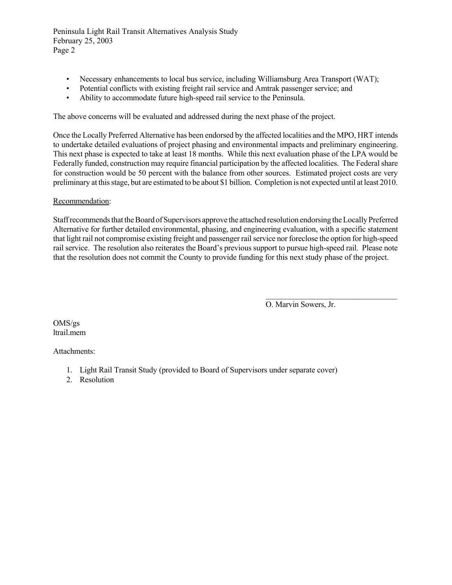Peninsula Light Rail Transit Alternatives Analysis Study February 25, 2003 Page 2

- Necessary enhancements to local bus service, including Williamsburg Area Transport (WAT);
- Potential conflicts with existing freight rail service and Amtrak passenger service; and
- Ability to accommodate future high-speed rail service to the Peninsula.

The above concerns will be evaluated and addressed during the next phase of the project.

Once the Locally Preferred Alternative has been endorsed by the affected localities and the MPO, HRT intends to undertake detailed evaluations of project phasing and environmental impacts and preliminary engineering. This next phase is expected to take at least 18 months. While this next evaluation phase of the LPA would be Federally funded, construction may require financial participation by the affected localities. The Federal share for construction would be 50 percent with the balance from other sources. Estimated project costs are very preliminary at this stage, but are estimated to be about \$1 billion. Completion is not expected until at least 2010.

### Recommendation:

Staff recommends that the Board of Supervisors approve the attached resolution endorsing the Locally Preferred Alternative for further detailed environmental, phasing, and engineering evaluation, with a specific statement that light rail not compromise existing freight and passenger rail service nor foreclose the option for high-speed rail service. The resolution also reiterates the Board's previous support to pursue high-speed rail. Please note that the resolution does not commit the County to provide funding for this next study phase of the project.

O. Marvin Sowers, Jr.

 $\mathcal{L}_\text{max}$ 

OMS/gs ltrail.mem

Attachments:

- 1. Light Rail Transit Study (provided to Board of Supervisors under separate cover)
- 2. Resolution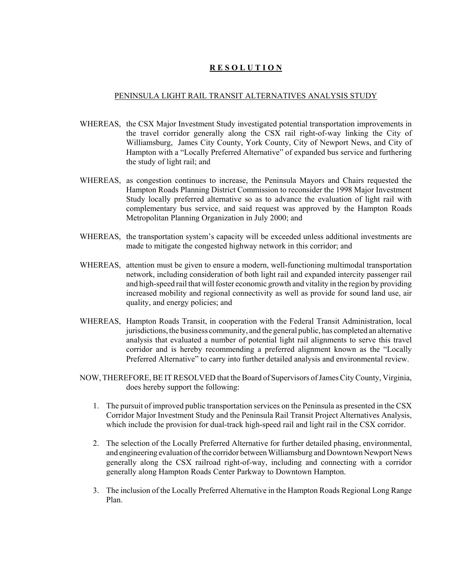### **R E S O L U T I O N**

#### PENINSULA LIGHT RAIL TRANSIT ALTERNATIVES ANALYSIS STUDY

- WHEREAS, the CSX Major Investment Study investigated potential transportation improvements in the travel corridor generally along the CSX rail right-of-way linking the City of Williamsburg, James City County, York County, City of Newport News, and City of Hampton with a "Locally Preferred Alternative" of expanded bus service and furthering the study of light rail; and
- WHEREAS, as congestion continues to increase, the Peninsula Mayors and Chairs requested the Hampton Roads Planning District Commission to reconsider the 1998 Major Investment Study locally preferred alternative so as to advance the evaluation of light rail with complementary bus service, and said request was approved by the Hampton Roads Metropolitan Planning Organization in July 2000; and
- WHEREAS, the transportation system's capacity will be exceeded unless additional investments are made to mitigate the congested highway network in this corridor; and
- WHEREAS, attention must be given to ensure a modern, well-functioning multimodal transportation network, including consideration of both light rail and expanded intercity passenger rail and high-speed rail that will foster economic growth and vitality in the region by providing increased mobility and regional connectivity as well as provide for sound land use, air quality, and energy policies; and
- WHEREAS, Hampton Roads Transit, in cooperation with the Federal Transit Administration, local jurisdictions, the business community, and the general public, has completed an alternative analysis that evaluated a number of potential light rail alignments to serve this travel corridor and is hereby recommending a preferred alignment known as the "Locally Preferred Alternative" to carry into further detailed analysis and environmental review.
- NOW, THEREFORE, BE IT RESOLVED that the Board of Supervisors of James City County, Virginia, does hereby support the following:
	- 1. The pursuit of improved public transportation services on the Peninsula as presented in the CSX Corridor Major Investment Study and the Peninsula Rail Transit Project Alternatives Analysis, which include the provision for dual-track high-speed rail and light rail in the CSX corridor.
	- 2. The selection of the Locally Preferred Alternative for further detailed phasing, environmental, and engineering evaluation of the corridor between Williamsburg and Downtown Newport News generally along the CSX railroad right-of-way, including and connecting with a corridor generally along Hampton Roads Center Parkway to Downtown Hampton.
	- 3. The inclusion of the Locally Preferred Alternative in the Hampton Roads Regional Long Range Plan.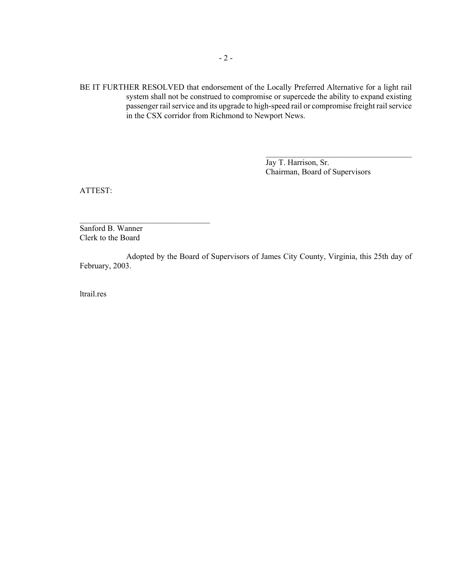BE IT FURTHER RESOLVED that endorsement of the Locally Preferred Alternative for a light rail system shall not be construed to compromise or supercede the ability to expand existing passenger rail service and its upgrade to high-speed rail or compromise freight rail service in the CSX corridor from Richmond to Newport News.

> Jay T. Harrison, Sr. Chairman, Board of Supervisors

\_\_\_\_\_\_\_\_\_\_\_\_\_\_\_\_\_\_\_\_\_\_\_\_\_\_\_\_\_\_\_\_\_\_\_\_

ATTEST:

Sanford B. Wanner Clerk to the Board

 $\mathcal{L}_\text{max}$ 

Adopted by the Board of Supervisors of James City County, Virginia, this 25th day of February, 2003.

ltrail.res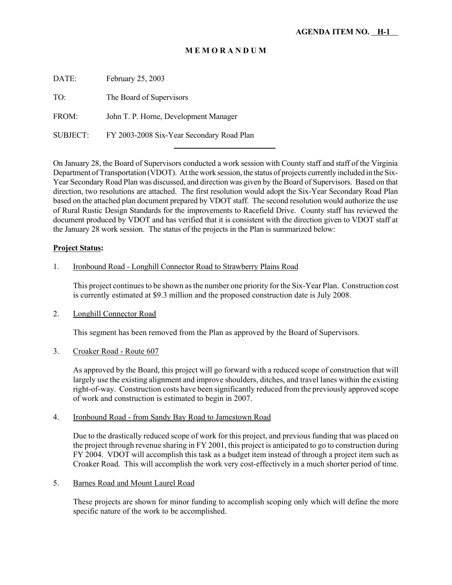DATE: February 25, 2003

TO: The Board of Supervisors

FROM: John T. P. Horne, Development Manager

SUBJECT: FY 2003-2008 Six-Year Secondary Road Plan

l

On January 28, the Board of Supervisors conducted a work session with County staff and staff of the Virginia Department of Transportation (VDOT). At the work session, the status of projects currently included in the Six-Year Secondary Road Plan was discussed, and direction was given by the Board of Supervisors. Based on that direction, two resolutions are attached. The first resolution would adopt the Six-Year Secondary Road Plan based on the attached plan document prepared by VDOT staff. The second resolution would authorize the use of Rural Rustic Design Standards for the improvements to Racefield Drive. County staff has reviewed the document produced by VDOT and has verified that it is consistent with the direction given to VDOT staff at the January 28 work session. The status of the projects in the Plan is summarized below:

#### **Project Status:**

### 1. Ironbound Road - Longhill Connector Road to Strawberry Plains Road

This project continues to be shown as the number one priority for the Six-Year Plan. Construction cost is currently estimated at \$9.3 million and the proposed construction date is July 2008.

### 2. Longhill Connector Road

This segment has been removed from the Plan as approved by the Board of Supervisors.

### 3. Croaker Road - Route 607

As approved by the Board, this project will go forward with a reduced scope of construction that will largely use the existing alignment and improve shoulders, ditches, and travel lanes within the existing right-of-way. Construction costs have been significantly reduced from the previously approved scope of work and construction is estimated to begin in 2007.

#### 4. Ironbound Road - from Sandy Bay Road to Jamestown Road

Due to the drastically reduced scope of work for this project, and previous funding that was placed on the project through revenue sharing in FY 2001, this project is anticipated to go to construction during FY 2004. VDOT will accomplish this task as a budget item instead of through a project item such as Croaker Road. This will accomplish the work very cost-effectively in a much shorter period of time.

### 5. Barnes Road and Mount Laurel Road

These projects are shown for minor funding to accomplish scoping only which will define the more specific nature of the work to be accomplished.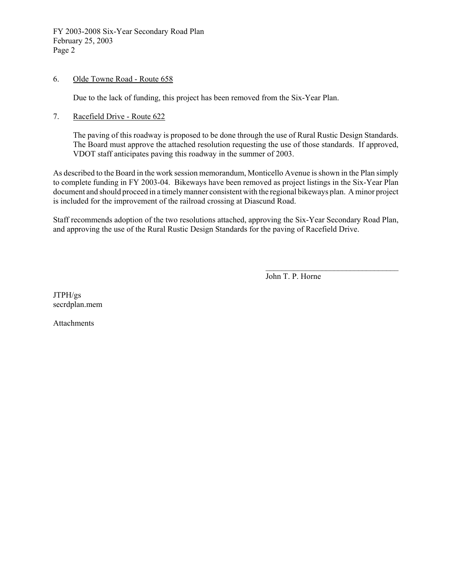FY 2003-2008 Six-Year Secondary Road Plan February 25, 2003 Page 2

### 6. Olde Towne Road - Route 658

Due to the lack of funding, this project has been removed from the Six-Year Plan.

### 7. Racefield Drive - Route 622

The paving of this roadway is proposed to be done through the use of Rural Rustic Design Standards. The Board must approve the attached resolution requesting the use of those standards. If approved, VDOT staff anticipates paving this roadway in the summer of 2003.

As described to the Board in the work session memorandum, Monticello Avenue is shown in the Plan simply to complete funding in FY 2003-04. Bikeways have been removed as project listings in the Six-Year Plan document and should proceed in a timely manner consistent with the regional bikeways plan. A minor project is included for the improvement of the railroad crossing at Diascund Road.

Staff recommends adoption of the two resolutions attached, approving the Six-Year Secondary Road Plan, and approving the use of the Rural Rustic Design Standards for the paving of Racefield Drive.

John T. P. Horne

 $\mathcal{L}_\text{max}$ 

JTPH/gs secrdplan.mem

Attachments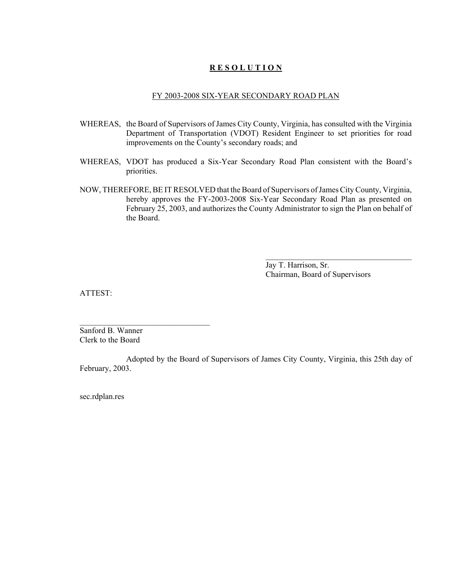### **R E S O L U T I O N**

#### FY 2003-2008 SIX-YEAR SECONDARY ROAD PLAN

- WHEREAS, the Board of Supervisors of James City County, Virginia, has consulted with the Virginia Department of Transportation (VDOT) Resident Engineer to set priorities for road improvements on the County's secondary roads; and
- WHEREAS, VDOT has produced a Six-Year Secondary Road Plan consistent with the Board's priorities.
- NOW, THEREFORE, BE IT RESOLVED that the Board of Supervisors of James City County, Virginia, hereby approves the FY-2003-2008 Six-Year Secondary Road Plan as presented on February 25, 2003, and authorizes the County Administrator to sign the Plan on behalf of the Board.

Jay T. Harrison, Sr. Chairman, Board of Supervisors

 $\mathcal{L}_\text{max}$ 

ATTEST:

Sanford B. Wanner Clerk to the Board

 $\mathcal{L}_\text{max}$ 

Adopted by the Board of Supervisors of James City County, Virginia, this 25th day of February, 2003.

sec.rdplan.res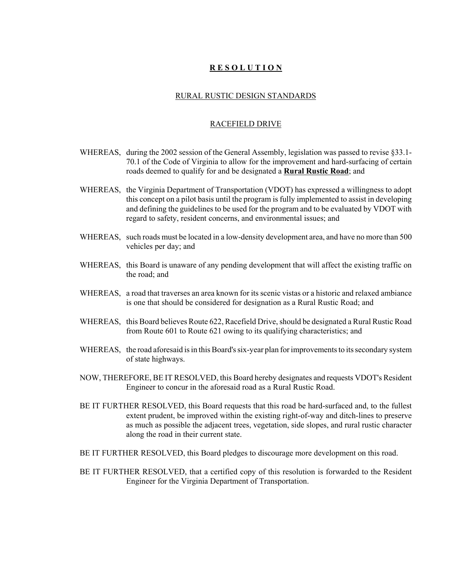### **R E S O L U T I O N**

#### RURAL RUSTIC DESIGN STANDARDS

#### RACEFIELD DRIVE

- WHEREAS, during the 2002 session of the General Assembly, legislation was passed to revise §33.1-70.1 of the Code of Virginia to allow for the improvement and hard-surfacing of certain roads deemed to qualify for and be designated a **Rural Rustic Road**; and
- WHEREAS, the Virginia Department of Transportation (VDOT) has expressed a willingness to adopt this concept on a pilot basis until the program is fully implemented to assist in developing and defining the guidelines to be used for the program and to be evaluated by VDOT with regard to safety, resident concerns, and environmental issues; and
- WHEREAS, such roads must be located in a low-density development area, and have no more than 500 vehicles per day; and
- WHEREAS, this Board is unaware of any pending development that will affect the existing traffic on the road; and
- WHEREAS, a road that traverses an area known for its scenic vistas or a historic and relaxed ambiance is one that should be considered for designation as a Rural Rustic Road; and
- WHEREAS, this Board believes Route 622, Racefield Drive, should be designated a Rural Rustic Road from Route 601 to Route 621 owing to its qualifying characteristics; and
- WHEREAS, the road aforesaid is in this Board's six-year plan for improvements to its secondary system of state highways.
- NOW, THEREFORE, BE IT RESOLVED, this Board hereby designates and requests VDOT's Resident Engineer to concur in the aforesaid road as a Rural Rustic Road.
- BE IT FURTHER RESOLVED, this Board requests that this road be hard-surfaced and, to the fullest extent prudent, be improved within the existing right-of-way and ditch-lines to preserve as much as possible the adjacent trees, vegetation, side slopes, and rural rustic character along the road in their current state.
- BE IT FURTHER RESOLVED, this Board pledges to discourage more development on this road.
- BE IT FURTHER RESOLVED, that a certified copy of this resolution is forwarded to the Resident Engineer for the Virginia Department of Transportation.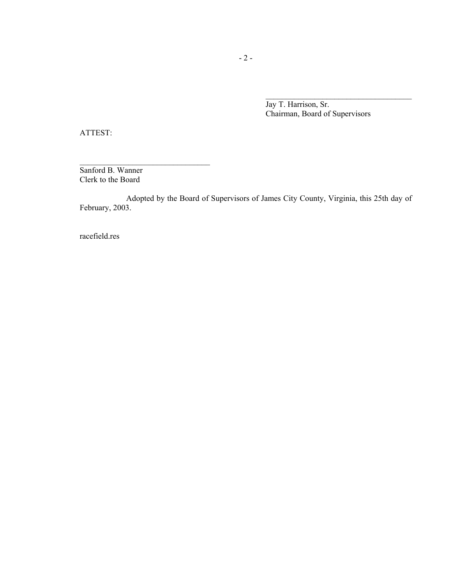Jay T. Harrison, Sr. Chairman, Board of Supervisors

ATTEST:

Sanford B. Wanner Clerk to the Board

 $\mathcal{L}_\text{max}$ 

Adopted by the Board of Supervisors of James City County, Virginia, this 25th day of February, 2003.

racefield.res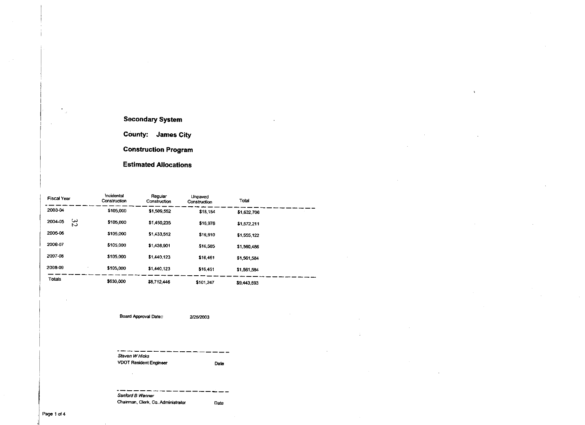#### **Secondary System**

**County: James City** 

**Construction Program** 

**Estimated Allocations** 

| <b>Fiscal Year</b> | Incidental<br>Construction | Regular<br>Construction | Unpaved<br>Construction | Total       |  |
|--------------------|----------------------------|-------------------------|-------------------------|-------------|--|
| 2003-04            | \$105,000                  | \$1,509,552             | \$18,154                | \$1,632.706 |  |
| 52<br>2004-05      | \$105,000                  | \$1,450,235             | \$16,976                | \$1,572.211 |  |
| 2005-06            | \$105,000                  | \$1,433,512             | \$16,610                | \$1,555,122 |  |
| 2006-07            | \$105,000                  | \$1,438,901             | \$16,585                | \$1,560,486 |  |
| 2007-08            | \$105,000                  | \$1,440,123             | \$16,461                | \$1,561,584 |  |
| 2008-09            | \$105,000                  | \$1,440,123             | \$16,461                | \$1,561,584 |  |
| Totals             | \$630,000                  | \$8,712,446             | \$101,247               | \$9,443,693 |  |

 $\overline{\mathbf{z}}$ 

Board Approval Date::

2/25/2003

Steven W Hicks **VDOT Resident Engineer** Date

Sanford B Wanner Chairman, Clerk, Co. Administrator Date

Page 1 of 4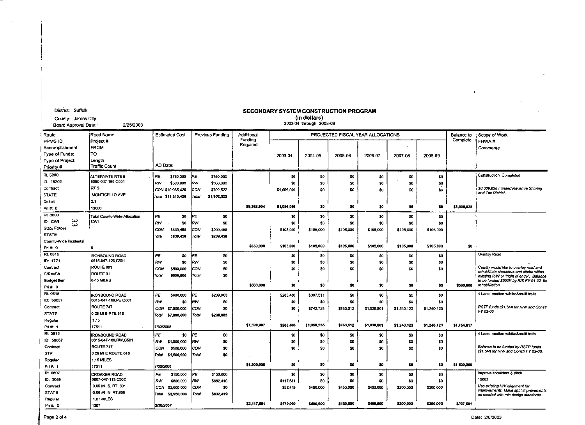|                        |                                          |           |                       |       |                         |             |             |                         | SECUNDARI SISIEM CUNSIRUCIIUN FRUSIUM |             |                 |             |             |                                                                                       |
|------------------------|------------------------------------------|-----------|-----------------------|-------|-------------------------|-------------|-------------|-------------------------|---------------------------------------|-------------|-----------------|-------------|-------------|---------------------------------------------------------------------------------------|
| County: James City     |                                          |           |                       |       |                         |             |             | (in dollars)            |                                       |             |                 |             |             |                                                                                       |
| Board Approval Date::  | 2/25/2003                                |           |                       |       |                         |             |             | 2003-04 through 2008-09 |                                       |             |                 |             |             |                                                                                       |
| Route                  | Road Name                                |           | <b>Estimated Cost</b> |       | <b>Previous Funding</b> | Additional  |             |                         | PROJECTED FISCAL YEAR ALLOCATIONS     |             |                 |             | Balance to  | Scope of Work                                                                         |
| PPMS ID                | Project #                                |           |                       |       |                         | Funding     |             |                         |                                       |             |                 |             | Complete    | FHWA#                                                                                 |
|                        |                                          |           |                       |       |                         | Required    |             |                         |                                       |             |                 |             |             |                                                                                       |
| Accomplishment         | <b>FROM</b>                              |           |                       |       |                         |             |             |                         |                                       |             |                 |             |             | Comments                                                                              |
| Type of Funds:         | TO                                       |           |                       |       |                         |             | 2003-04     | 2004-05                 | 2005-06                               | 2006-07     | 2007-08         | 2008-09     |             |                                                                                       |
| Type of Project        | Length                                   | AD Date:  |                       |       |                         |             |             |                         |                                       |             |                 |             |             |                                                                                       |
| Priority #             | <b>Traffic Count</b>                     |           |                       |       |                         |             |             |                         |                                       |             |                 |             |             |                                                                                       |
| Rt. 5000               | ALTERNATE RTE 5                          | PΕ        | \$750,000             | ÞΕ    | \$750,000               |             | 50          | \$0                     | \$0                                   | 50          | 50              | 50          |             | Construction Completed                                                                |
| ID: 18202              | 5000-047-166.C501                        | RW        | \$500,000             | ₩w    | \$500,000               |             | 50          | \$O.                    | 50                                    | 30          | \$D             | 50          |             |                                                                                       |
| Contract               | RT <sub>5</sub>                          |           | CON \$10,065,426      | CON   | \$702,522               |             | \$1,056,066 | \$O                     | \$0                                   | \$0         | \$0             | SO.         |             | \$8,306,838 Funded Revenue Sharing                                                    |
| STATE                  | MONTICELLO AVE                           |           | Total \$11,315,426    | Total | \$1,952,522             |             |             |                         |                                       |             |                 |             |             | and Tax District.                                                                     |
| Delicit                | 2.1                                      |           |                       |       |                         |             |             |                         |                                       |             |                 |             |             |                                                                                       |
| Pri#: 0                | 13000                                    |           |                       |       |                         | \$9,362,904 | \$1,056,066 | \$0                     | \$0                                   | \$0         | \$0             | \$0         | \$8,306,838 |                                                                                       |
| Rt. 8000               |                                          |           |                       |       |                         |             |             |                         |                                       |             |                 |             |             |                                                                                       |
| ىي<br>ID: CWI          | Total County-Wide Allocation<br>icwi     | PE        | \$0                   | PE    | \$0                     |             | \$0         | \$0                     | \$0                                   | \$0         | \$0             | \$0         |             |                                                                                       |
| ω                      |                                          | <b>RW</b> | \$0                   | law   | \$0                     |             | \$0         | SC.                     | \$0                                   | \$0         | \$0             | 50          |             |                                                                                       |
| <b>State Forces</b>    |                                          | CON       | \$839,458             | COM   | \$209,458               |             | \$105,000   | \$105,000               | \$105,000                             | \$105,000   | \$105,000       | \$105,000   |             |                                                                                       |
| <b>STATE</b>           |                                          | Total     | \$839,458             | Total | \$209,458               |             |             |                         |                                       |             |                 |             |             |                                                                                       |
| County-Wide Incidental |                                          |           |                       |       |                         | \$630,000   | \$105,000   | \$105,000               | \$105,000                             | \$105,000   | \$105,000       | \$105,000   | \$0         |                                                                                       |
| Pri #: 0               |                                          |           |                       |       |                         |             |             |                         |                                       |             |                 |             |             |                                                                                       |
| Rt. 0615               | <b>IRONBOUND ROAD</b>                    | PE        | SO.                   | lPE   | \$0                     |             | \$0         | \$0                     | SG                                    | \$0         | \$0             | \$0         |             | Overlay Road                                                                          |
| ID: 1771               | 0615-047-126.C501                        | RW        | \$0                   | kw    | \$0                     |             | \$0         | \$O                     | \$0                                   | \$0         | \$0             | \$0         |             |                                                                                       |
| Contract               | ROUTE 681                                | CON       | \$500,000             | CON   | \$0                     |             | \$0         | \$O                     | \$0                                   | \$0         | \$0             | \$0         |             | County would like to overlay road and                                                 |
| S/RevSh                | ROUTE 31                                 | Total     | \$500,000             | Total | \$0                     |             |             |                         |                                       |             |                 |             |             | rehabilitate shoulders and ditche within<br>existing R/W or "right of entry". Balance |
| <b>Budget Item</b>     | 0.45 MILES                               |           |                       |       |                         |             |             |                         |                                       |             |                 |             |             | to be funded \$500K by R/S FY 01-02 for                                               |
| Pri#: 0                |                                          |           |                       |       |                         | \$500,000   | \$0         | \$0                     | \$0                                   | \$0         | \$0             | \$0         | \$500,000   | rehabilitation.                                                                       |
| Rt. 0615               | <b>IRONBOUND ROAD</b>                    | PΕ        | \$800,000             | JΡE   | \$209,003               |             | \$283,486   | \$307.511               | \$0                                   | 50          | \$0             | 50          |             | 4 Lane, median w/bike&multi trails                                                    |
| ID: 50057              | 0615-047-169.PE.C501                     | RW        | \$0                   | kw    | \$0                     |             | 50          | \$O.                    | \$0                                   | 50          | \$0             | \$0         |             |                                                                                       |
| Contract               | ROUTE 747                                | CON       | \$7,000,000           | con   | 50                      |             | \$0         | \$742,724               | \$933,512                             | \$1,038,901 | \$1,240,123     | \$1,240,123 |             | RSTP funds (\$1.5M) for R/W and Constr                                                |
| <b>STATE</b>           | 0.26 MI E RTE 616                        | Total     | \$7,800,000           | Total | \$209,003               |             |             |                         |                                       |             |                 |             |             | FY 02-03                                                                              |
| Regular                | 1.15                                     |           |                       |       |                         |             |             |                         |                                       |             |                 |             |             |                                                                                       |
| Pri#: 1                | 17511                                    | 7/30/2008 |                       |       |                         | \$7,590.997 | \$283,486   | \$1,050,235             | \$983.512                             | \$1,038,901 | \$1,240,123     | \$1,240,123 | \$1,754.617 |                                                                                       |
| Rt. 0615               |                                          |           |                       |       |                         |             |             |                         |                                       |             |                 |             |             | 4 Lane, median w/bike&multi trails                                                    |
| ID: 50057              | IRONBOUND ROAD<br>0615-047-169, RW, C501 | PΞ        | \$0                   | ÞΕ    | \$0                     |             | \$0         | \$0                     | \$0                                   | \$0         | SC.             | \$0         |             |                                                                                       |
|                        |                                          | RW        | \$1,000,000           | kw    | \$0                     |             | \$0         | \$0                     | \$0                                   | \$0         | 50              | \$0         |             |                                                                                       |
| Contract               | ROUTE 747                                | CON       | \$500,000             | CON   | \$0                     |             | \$0         | SO.                     | 50                                    | \$0         | \$0             | \$0         |             | Balance to be funded by RSTP funds<br>(\$1.5M) for R/W and Constr FY 02-03.           |
| <b>STP</b>             | 0.26 MI E ROUTE 616                      | Total     | \$1,500,000           | Total | \$0                     |             |             |                         |                                       |             |                 |             |             |                                                                                       |
| Regular                | 1.15 MILES                               |           |                       |       |                         | \$1,500,000 | \$0         | \$0                     | \$0                                   | 30          | \$0             | \$0         | \$1,500,000 |                                                                                       |
| Pri#: 1                | 17511                                    | 7/30/2008 |                       |       |                         |             |             |                         |                                       |             |                 |             |             |                                                                                       |
| Rt. 0607               | <b>CROAKER ROAD</b>                      | ΡE        | \$150,000             | ΙPΕ   | \$150,000               |             | \$0         | \$0                     | \$0                                   | \$0         | SO <sub>1</sub> | \$0         |             | Improve shoulders & ditch                                                             |
| ID: 3089               | 0607-047-113, C502                       | RW        | \$800,000             | RW    | \$682,419               |             | \$117,581   | \$O                     | \$0                                   | \$0         | SO.             | 50          |             | 15003                                                                                 |
| Contract               | 0.05 MI. S. RT. 601                      | CON       | \$2,000,000           | CON   | \$0                     |             | \$52,419    | \$400,000               | \$450,000                             | \$400,000   | \$200,000       | \$200,000   |             | Use existing H/V alignment for                                                        |
| <b>STATE</b>           | 0.06 MI. N. RT.605                       | Tolai     | \$2,950,000           | ro al | \$832,419               |             |             |                         |                                       |             |                 |             |             | improvements. Make spot improvements<br>as needed with min design standards           |
| Regular                | <b>1.87 MILES</b>                        |           |                       |       |                         |             |             |                         |                                       |             |                 |             |             |                                                                                       |
| Pri# $2$               | 1267                                     | 3/30/2007 |                       |       |                         | \$2,117,581 | \$170,000   | \$400,000               | \$450,000                             | \$400,000   | \$200,000       | \$200,000   | \$297,581   |                                                                                       |

District: Suffolk

# SECONDARY SYSTEM CONSTRUCTION RROCRAM

 $\ddot{\cdot}$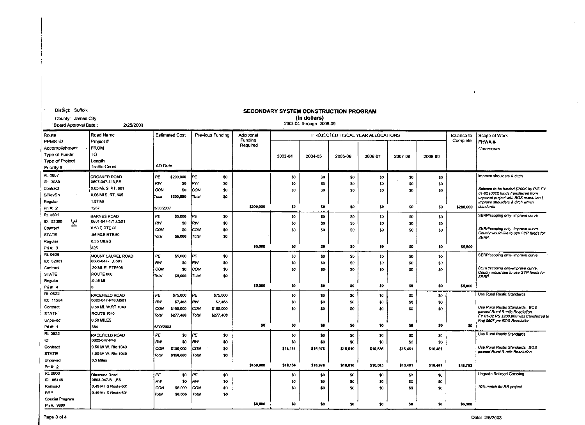| County: James City<br>Board Approval Date:                                          | 2/25/2003                                                 |           |                       |             |                  |                     |          | (in dollars)<br>2003-04 through 2008-09 |          |                                   |          |                 |            |                                                                             |
|-------------------------------------------------------------------------------------|-----------------------------------------------------------|-----------|-----------------------|-------------|------------------|---------------------|----------|-----------------------------------------|----------|-----------------------------------|----------|-----------------|------------|-----------------------------------------------------------------------------|
| Route                                                                               | Road Name                                                 |           | <b>Estimated Cost</b> |             | Previous Fundino | Additional          |          |                                         |          | PROJECTED FISCAL YEAR ALLOCATIONS |          |                 | Balance to | Scope of Work                                                               |
| PPMS ID<br>Accomplishment<br>Type of Funds:<br><b>Type of Project</b><br>Priority # | Project #<br><b>FROM</b><br>TO<br>Length<br>Traffic Count | AD Date:  |                       |             |                  | Funding<br>Required | 2003-04  | 2004-05                                 | 2005-06  | 2006-07                           | 2007-08  | 2008-09         | Complete   | FHWA#<br>Comments                                                           |
| Rt. 0607                                                                            | <b>CROAKER ROAD</b>                                       | PE        | \$200,000             | lΡΕ         | \$0              |                     | \$0      | \$0                                     | \$0      | \$0                               | \$0      | \$0             |            | Improve shoulders & ditch                                                   |
| ID: 3089                                                                            | 0607-047-113,PE                                           | RW        | \$0                   | kw          | \$0              |                     | \$0      | \$0                                     | \$0      | \$0                               | \$O      | 50              |            |                                                                             |
| Contract                                                                            | 0.05 MI. S. RT. 601                                       | CON       | 50                    | Icow        | \$0              |                     | 30       | \$O                                     | 80       | \$0                               | \$0      | \$0             |            | Balance to be funded \$200K by R/S FY                                       |
| S/RevSh                                                                             | 0.06 MIS. RT. 605                                         | Total     | \$200,000             | Total       | \$0              |                     |          |                                         |          |                                   |          |                 |            | 01-02 (0622 funds transferred from<br>unpaved project with BOS resolution.) |
| Regular                                                                             | 1.87 Mi                                                   |           |                       |             |                  |                     |          |                                         |          |                                   |          |                 |            | Improve shoulders & ditch w/min                                             |
| Pri# 2                                                                              | 1267                                                      | 3/30/2007 |                       |             |                  | \$200,000           | \$0      | SG.                                     | \$0      | 50                                | \$0      | SO <sub>1</sub> | \$200,000  | slandards                                                                   |
| Rt. 0601                                                                            | <b>BARNES ROAD</b>                                        | PE        | \$5,000               | PE          | \$0              |                     | \$0      | \$0                                     | \$0      | \$O                               | \$0      | \$0             |            | SERP/scoping only- improve curve                                            |
| 34<br>ID: 52080                                                                     | 0601-047-171.C501                                         | RW        | \$0                   | kw          | \$0              |                     | \$0      | \$0                                     | \$0      | \$0                               | 50       | \$0             |            |                                                                             |
| Contract                                                                            | 0.50 E RTE 60                                             | CON       | \$0                   | icon        | \$0              |                     | \$0      | \$0                                     | SO.      | \$0                               | \$0      | \$0             |            | SERP/scoping only- improve curve.<br>County would like to use SYP funds for |
| STATE                                                                               | 85 MI E RTE 60                                            | Total     | \$5,000               | Total       | 50               |                     |          |                                         |          |                                   |          |                 |            | SERP.                                                                       |
| Regular                                                                             | 0.35 MILES                                                |           |                       |             |                  |                     |          |                                         |          |                                   |          |                 |            |                                                                             |
| Pri#: 3                                                                             | 325                                                       |           |                       |             |                  | \$5,000             | \$0      | \$0                                     | \$0      | 50                                | \$0      | \$0             | \$5,000    |                                                                             |
| Rt. 0608                                                                            | MOUNT LAUREL ROAD                                         | PE        | \$5,000               | PE          | \$0              |                     | \$0      | \$G                                     | \$0      | \$0                               | \$0      | \$0             |            | SERP/scoping only- improve curve                                            |
| ID: 52081                                                                           | 0608-047 C501                                             | RW        | \$0                   | <b>J</b> RW | SO <sub>1</sub>  |                     | \$0      | \$0                                     | \$0      | 50                                | \$O      | \$0             |            |                                                                             |
| Contract                                                                            | .30 MI. E. RTE606                                         | CON       | \$0                   | COM         | \$0              |                     | \$0      | \$0                                     | \$0      | \$0                               | \$0      | \$0             |            | SERP/scoping only-improve curve.<br>County would like to use SYP funds for  |
| <b>STATE</b>                                                                        | ROUTE 606                                                 | Total     | \$5,000               | Total       | \$0              |                     |          |                                         |          |                                   |          |                 |            | SERP.                                                                       |
| Regular                                                                             | .0.45M                                                    |           |                       |             |                  | \$5,000             | 30       | \$0                                     | \$0      | \$0                               | \$0      | \$0             | \$5,000    |                                                                             |
| Pri#: 4                                                                             | ١o                                                        |           |                       |             |                  |                     |          |                                         |          |                                   |          |                 |            |                                                                             |
| Rt. 0622                                                                            | <b>RACEFIELD ROAD</b>                                     | PE.       | \$75,000              | PΕ          | \$75,000         |                     | 50       | \$0                                     | \$0      | \$0                               | \$0      | \$0             |            | Use Rural Rustic Standards                                                  |
| ID: 11264                                                                           | 0622-047-P46.M501                                         | RW        | \$7,468               | kw          | \$7,468          |                     | \$0      | \$0                                     | \$0      | \$0                               | \$0      | \$0             |            |                                                                             |
| Contract                                                                            | 0.56 MI. W.RT 1040                                        | CON       | \$195,000             | ICON        | \$195,000        |                     | \$0      | \$0                                     | 50       | \$0                               | \$0      | \$0             |            | Use Rural Rustic Standards, BOS<br>passed Rural Rustic Resolution.          |
| STATE                                                                               | <b>ROUTE 1040</b>                                         | Total     | \$277,468             | Total       | \$277,468        |                     |          |                                         |          |                                   |          |                 |            | FY 01-02 RS \$200,000 was transferred to                                    |
| Unpaved                                                                             | 0.56 MILES<br>364                                         | 6/30/2003 |                       |             |                  | \$0                 | 50       | \$0                                     | \$0      | \$0                               | \$0      | 50              | \$0        | Proj 0607 per BOS Resolution.                                               |
| Pri#: 1<br>Rt. 0622                                                                 |                                                           |           |                       |             |                  |                     |          |                                         |          |                                   |          |                 |            |                                                                             |
|                                                                                     | <b>RACEFIELD ROAD</b><br>0622-047-P46                     | PE        | \$0                   | PE          | \$0              |                     | \$0      | \$0                                     | \$0      | \$0                               | \$0      | \$0             |            | Use Rural Rustic Standards                                                  |
| íD:                                                                                 | 0.56 MI W. Rte 1040                                       | RW        | \$0                   | kw          | \$0              |                     | 50       | SO <sub>1</sub>                         | \$0      | \$0                               | \$0      | \$0             |            |                                                                             |
| Contract                                                                            | 1.00 MI W. Rte 1040                                       | CON       | \$150,000             | CON         | \$0              |                     | \$18,154 | \$16.976                                | \$16.610 | \$16,585                          | \$16,461 | \$16,461        |            | Use Rural Rustic Standards. BOS<br>passed Rural Rustic Resolution.          |
| <b>STATE</b>                                                                        | 0.5 Miles                                                 | Total     | \$150,000             | Total       | \$0              |                     |          |                                         |          |                                   |          |                 |            |                                                                             |
| Unpaved                                                                             |                                                           |           |                       |             |                  | \$150,000           | \$18,154 | \$16,976                                | \$16,810 | \$16,585                          | \$16,481 | \$16,461        | \$48,753   |                                                                             |
| Pr#2                                                                                |                                                           |           |                       |             |                  |                     |          |                                         |          |                                   |          |                 |            |                                                                             |
| Rt. 0603<br>ID: 65146                                                               | Diascund Road<br>0603-047-S FS                            | l PE.     | \$0                   | PE          | \$0              |                     | \$0      | \$0                                     | \$0      | \$0                               | SO.      | \$0             |            | Upgrade Railroad Crossing                                                   |
| Railroad                                                                            | 0.49 MI. S Route 601                                      | RW        | \$0                   | RW          | \$0              |                     | \$0      | \$0                                     | \$0      | \$0                               | \$O      | \$0             |            |                                                                             |
| RRP                                                                                 | 0.49 MI, S Route 601                                      | CON       | \$6,000               | lcow        | \$0              |                     | 50       | \$0                                     | \$0      | \$0                               | \$O      | 50              |            | 10% match for RR project                                                    |
| Special Program                                                                     |                                                           | Total     | \$6,000               | Total       | \$0              |                     |          |                                         |          |                                   |          |                 |            |                                                                             |
| Pri # 9999                                                                          |                                                           |           |                       |             |                  | \$6,000             | 50       | \$0                                     | \$0      | \$0                               | SO.      | \$0             | \$5,000    |                                                                             |

District: Suffolk

### SECONDARY SYSTEM CONSTRUCTION PROGRAM

÷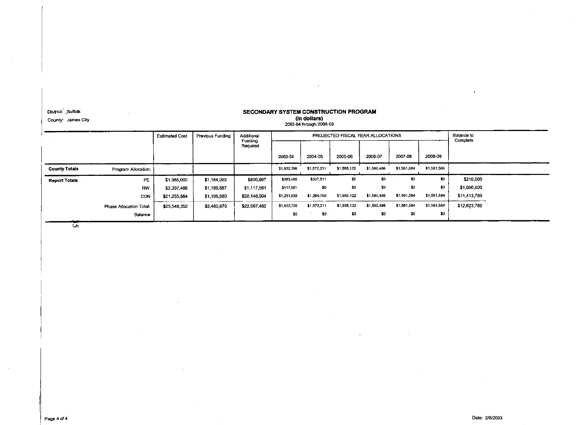District: Suffolk County: James City

### SECONDARY SYSTEM CONSTRUCTION PROGRAM (in dollars)<br>2003-04 through 2008-09

|                      |                         | <b>Estimated Cost</b> | Previous Funding | Additional          |             | PROJECTED FISCAL YEAR ALLOCATIONS | Balance to<br>Complete |             |             |             |              |
|----------------------|-------------------------|-----------------------|------------------|---------------------|-------------|-----------------------------------|------------------------|-------------|-------------|-------------|--------------|
|                      |                         |                       |                  | Funding<br>Required |             |                                   |                        |             |             |             |              |
|                      |                         |                       |                  |                     | 2003-04     | 2004-05                           | 2005-06                | 2006-07     | 2007-08     | 2008-09     |              |
| <b>County Totals</b> | Program Allocation:     |                       |                  |                     | \$1,632,706 | \$1,572,211                       | \$1,555,122            | \$1,560,486 | \$1,561,584 | \$1,561,584 |              |
| <b>Report Totals</b> | PE                      | \$1,985,000           | \$1,184,003      | \$800,997           | \$283,486   | \$307,511                         | 30                     | \$0         | -80         | \$0         | \$210,000    |
|                      | <b>RW</b>               | \$2,307,468           | \$1 189,887      | \$1,117,581         | \$117,581   | \$0                               | \$0                    | \$0         | \$0         | \$0         | \$1,000,000  |
|                      | CON                     | \$21,255,884          | \$1,106,980      | \$20.148.904        | \$1,231,639 | \$1,264,700                       | \$1,555,122            | \$1,560,486 | \$1,561,584 | \$1,561.584 | \$11,413,789 |
|                      | Phase Allocation Total: | \$25,548,352          | \$3,480,870      | \$22,067.482        | \$1,632,706 | \$1,572,211                       | \$1,555,122            | \$1,560,486 | \$1,561,584 | \$1,561.584 | \$12,623,789 |
|                      | Balance                 |                       |                  |                     | \$0         | \$0                               | \$0                    | \$0         | \$0         | \$0         |              |

ल

 $\ddot{\phantom{a}}$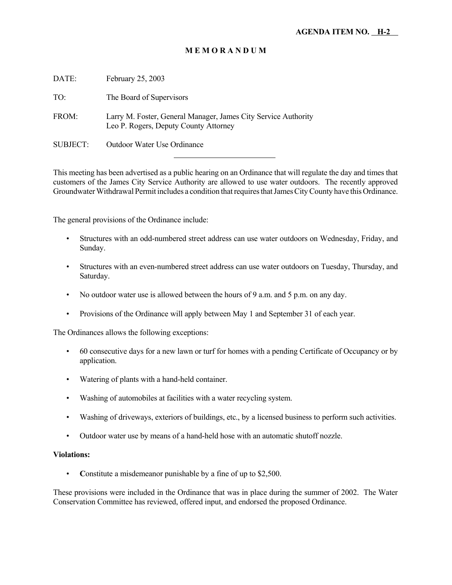| DATE:    | February 25, 2003                                                                                       |
|----------|---------------------------------------------------------------------------------------------------------|
| TO:      | The Board of Supervisors                                                                                |
| FROM:    | Larry M. Foster, General Manager, James City Service Authority<br>Leo P. Rogers, Deputy County Attorney |
| SUBJECT: | Outdoor Water Use Ordinance                                                                             |
|          |                                                                                                         |

This meeting has been advertised as a public hearing on an Ordinance that will regulate the day and times that customers of the James City Service Authority are allowed to use water outdoors. The recently approved Groundwater Withdrawal Permit includes a condition that requires that James City County have this Ordinance.

The general provisions of the Ordinance include:

- Structures with an odd-numbered street address can use water outdoors on Wednesday, Friday, and Sunday.
- Structures with an even-numbered street address can use water outdoors on Tuesday, Thursday, and Saturday.
- No outdoor water use is allowed between the hours of 9 a.m. and 5 p.m. on any day.
- Provisions of the Ordinance will apply between May 1 and September 31 of each year.

The Ordinances allows the following exceptions:

- 60 consecutive days for a new lawn or turf for homes with a pending Certificate of Occupancy or by application.
- Watering of plants with a hand-held container.
- Washing of automobiles at facilities with a water recycling system.
- Washing of driveways, exteriors of buildings, etc., by a licensed business to perform such activities.
- Outdoor water use by means of a hand-held hose with an automatic shutoff nozzle.

#### **Violations:**

• **C**onstitute a misdemeanor punishable by a fine of up to \$2,500.

These provisions were included in the Ordinance that was in place during the summer of 2002. The Water Conservation Committee has reviewed, offered input, and endorsed the proposed Ordinance.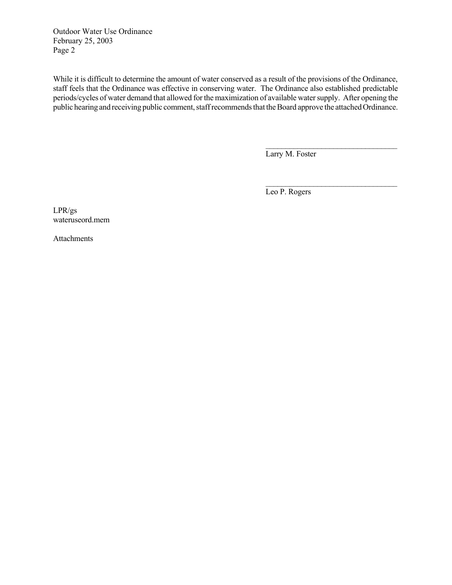Outdoor Water Use Ordinance February 25, 2003 Page 2

While it is difficult to determine the amount of water conserved as a result of the provisions of the Ordinance, staff feels that the Ordinance was effective in conserving water. The Ordinance also established predictable periods/cycles of water demand that allowed for the maximization of available water supply. After opening the public hearing and receiving public comment, staff recommends that the Board approve the attached Ordinance.

Larry M. Foster

 $\mathcal{L}_\text{max}$ 

 $\mathcal{L}_\text{max}$ 

Leo P. Rogers

LPR/gs wateruseord.mem

Attachments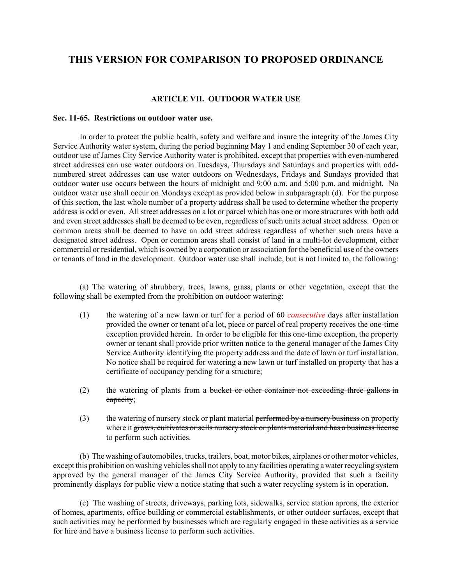### **THIS VERSION FOR COMPARISON TO PROPOSED ORDINANCE**

#### **ARTICLE VII. OUTDOOR WATER USE**

#### **Sec. 11-65. Restrictions on outdoor water use.**

In order to protect the public health, safety and welfare and insure the integrity of the James City Service Authority water system, during the period beginning May 1 and ending September 30 of each year, outdoor use of James City Service Authority water is prohibited, except that properties with even-numbered street addresses can use water outdoors on Tuesdays, Thursdays and Saturdays and properties with oddnumbered street addresses can use water outdoors on Wednesdays, Fridays and Sundays provided that outdoor water use occurs between the hours of midnight and 9:00 a.m. and 5:00 p.m. and midnight. No outdoor water use shall occur on Mondays except as provided below in subparagraph (d). For the purpose of this section, the last whole number of a property address shall be used to determine whether the property address is odd or even. All street addresses on a lot or parcel which has one or more structures with both odd and even street addresses shall be deemed to be even, regardless of such units actual street address. Open or common areas shall be deemed to have an odd street address regardless of whether such areas have a designated street address. Open or common areas shall consist of land in a multi-lot development, either commercial or residential, which is owned by a corporation or association for the beneficial use of the owners or tenants of land in the development. Outdoor water use shall include, but is not limited to, the following:

(a) The watering of shrubbery, trees, lawns, grass, plants or other vegetation, except that the following shall be exempted from the prohibition on outdoor watering:

- (1) the watering of a new lawn or turf for a period of 60 *consecutive* days after installation provided the owner or tenant of a lot, piece or parcel of real property receives the one-time exception provided herein. In order to be eligible for this one-time exception, the property owner or tenant shall provide prior written notice to the general manager of the James City Service Authority identifying the property address and the date of lawn or turf installation. No notice shall be required for watering a new lawn or turf installed on property that has a certificate of occupancy pending for a structure;
- (2) the watering of plants from a bucket or other container not exceeding three gallons in capacity;
- (3) the watering of nursery stock or plant material performed by a nursery business on property where it grows, cultivates or sells nursery stock or plants material and has a business license to perform such activities.

(b) The washing of automobiles, trucks, trailers, boat, motor bikes, airplanes or other motor vehicles, except this prohibition on washing vehicles shall not apply to any facilities operating a water recycling system approved by the general manager of the James City Service Authority, provided that such a facility prominently displays for public view a notice stating that such a water recycling system is in operation.

(c) The washing of streets, driveways, parking lots, sidewalks, service station aprons, the exterior of homes, apartments, office building or commercial establishments, or other outdoor surfaces, except that such activities may be performed by businesses which are regularly engaged in these activities as a service for hire and have a business license to perform such activities.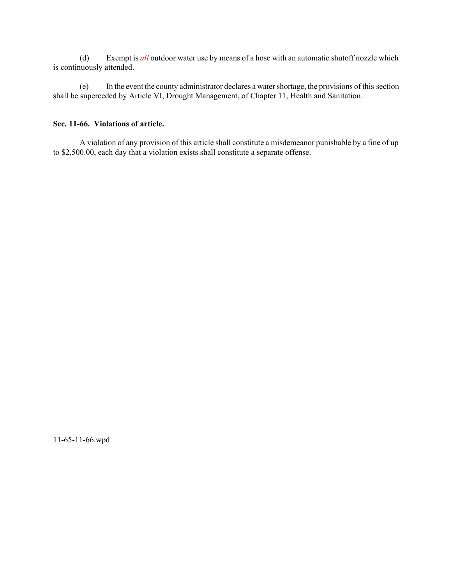(d) Exempt is *all* outdoor water use by means of a hose with an automatic shutoff nozzle which is continuously attended.

(e) In the event the county administrator declares a water shortage, the provisions of this section shall be superceded by Article VI, Drought Management, of Chapter 11, Health and Sanitation.

### **Sec. 11-66. Violations of article.**

A violation of any provision of this article shall constitute a misdemeanor punishable by a fine of up to \$2,500.00, each day that a violation exists shall constitute a separate offense.

11-65-11-66.wpd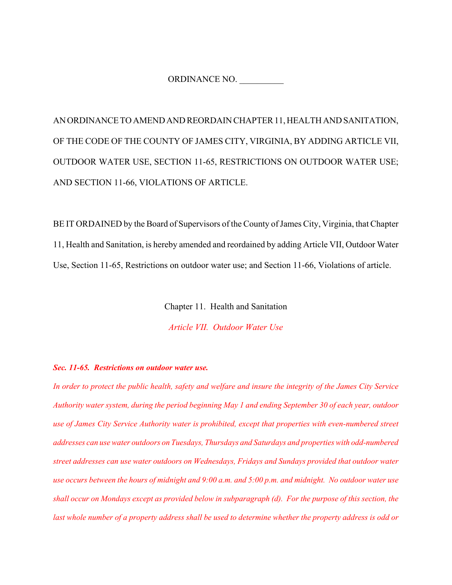ORDINANCE NO.

AN ORDINANCE TO AMEND AND REORDAIN CHAPTER 11, HEALTH AND SANITATION, OF THE CODE OF THE COUNTY OF JAMES CITY, VIRGINIA, BY ADDING ARTICLE VII, OUTDOOR WATER USE, SECTION 11-65, RESTRICTIONS ON OUTDOOR WATER USE; AND SECTION 11-66, VIOLATIONS OF ARTICLE.

BE IT ORDAINED by the Board of Supervisors of the County of James City, Virginia, that Chapter 11, Health and Sanitation, is hereby amended and reordained by adding Article VII, Outdoor Water Use, Section 11-65, Restrictions on outdoor water use; and Section 11-66, Violations of article.

Chapter 11. Health and Sanitation

*Article VII. Outdoor Water Use*

#### *Sec. 11-65. Restrictions on outdoor water use.*

*In order to protect the public health, safety and welfare and insure the integrity of the James City Service Authority water system, during the period beginning May 1 and ending September 30 of each year, outdoor use of James City Service Authority water is prohibited, except that properties with even-numbered street addresses can use water outdoors on Tuesdays, Thursdays and Saturdays and properties with odd-numbered street addresses can use water outdoors on Wednesdays, Fridays and Sundays provided that outdoor water use occurs between the hours of midnight and 9:00 a.m. and 5:00 p.m. and midnight. No outdoor water use shall occur on Mondays except as provided below in subparagraph (d). For the purpose of this section, the last whole number of a property address shall be used to determine whether the property address is odd or*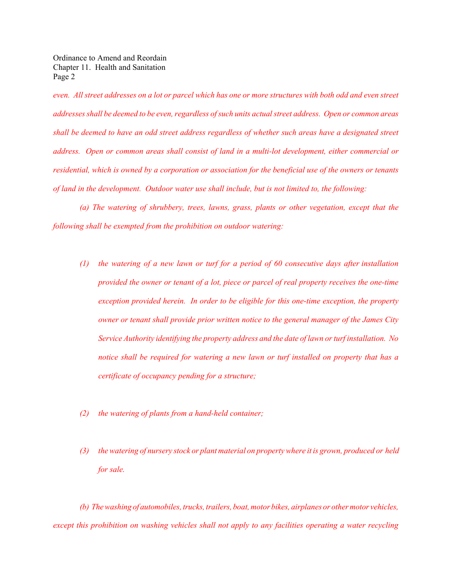Ordinance to Amend and Reordain Chapter 11. Health and Sanitation Page 2

*even. All street addresses on a lot or parcel which has one or more structures with both odd and even street addresses shall be deemed to be even, regardless of such units actual street address. Open or common areas shall be deemed to have an odd street address regardless of whether such areas have a designated street address. Open or common areas shall consist of land in a multi-lot development, either commercial or residential, which is owned by a corporation or association for the beneficial use of the owners or tenants of land in the development. Outdoor water use shall include, but is not limited to, the following:* 

*(a) The watering of shrubbery, trees, lawns, grass, plants or other vegetation, except that the following shall be exempted from the prohibition on outdoor watering:*

- *(1) the watering of a new lawn or turf for a period of 60 consecutive days after installation provided the owner or tenant of a lot, piece or parcel of real property receives the one-time exception provided herein. In order to be eligible for this one-time exception, the property owner or tenant shall provide prior written notice to the general manager of the James City Service Authority identifying the property address and the date of lawn or turf installation. No notice shall be required for watering a new lawn or turf installed on property that has a certificate of occupancy pending for a structure;*
- *(2) the watering of plants from a hand-held container;*
- *(3) the watering of nursery stock or plant material on property where it is grown, produced or held for sale.*

*(b) The washing of automobiles, trucks, trailers, boat, motor bikes, airplanes or other motor vehicles, except this prohibition on washing vehicles shall not apply to any facilities operating a water recycling*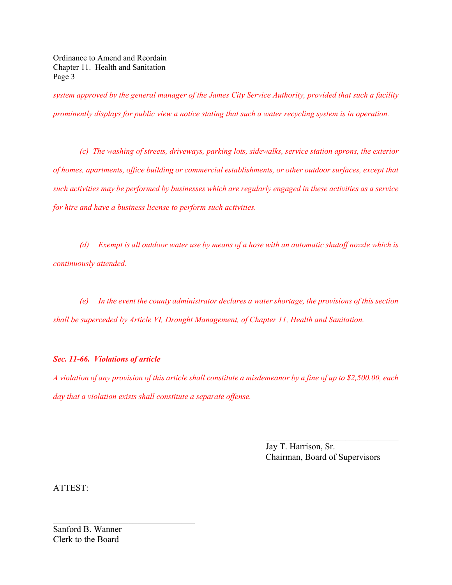Ordinance to Amend and Reordain Chapter 11. Health and Sanitation Page 3

*system approved by the general manager of the James City Service Authority, provided that such a facility prominently displays for public view a notice stating that such a water recycling system is in operation.*

*(c) The washing of streets, driveways, parking lots, sidewalks, service station aprons, the exterior of homes, apartments, office building or commercial establishments, or other outdoor surfaces, except that such activities may be performed by businesses which are regularly engaged in these activities as a service for hire and have a business license to perform such activities.*

*(d) Exempt is all outdoor water use by means of a hose with an automatic shutoff nozzle which is continuously attended.*

*(e) In the event the county administrator declares a water shortage, the provisions of this section shall be superceded by Article VI, Drought Management, of Chapter 11, Health and Sanitation.*

### *Sec. 11-66. Violations of article*

*A violation of any provision of this article shall constitute a misdemeanor by a fine of up to \$2,500.00, each day that a violation exists shall constitute a separate offense.*

> Jay T. Harrison, Sr. Chairman, Board of Supervisors

 $\mathcal{L}_\text{max}$ 

ATTEST:

Sanford B. Wanner Clerk to the Board

 $\mathcal{L}_\text{max}$  , where  $\mathcal{L}_\text{max}$  and  $\mathcal{L}_\text{max}$  and  $\mathcal{L}_\text{max}$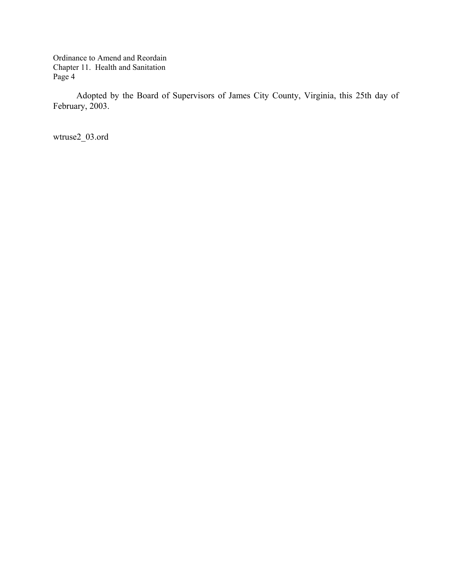Ordinance to Amend and Reordain Chapter 11. Health and Sanitation Page 4

Adopted by the Board of Supervisors of James City County, Virginia, this 25th day of February, 2003.

wtruse2\_03.ord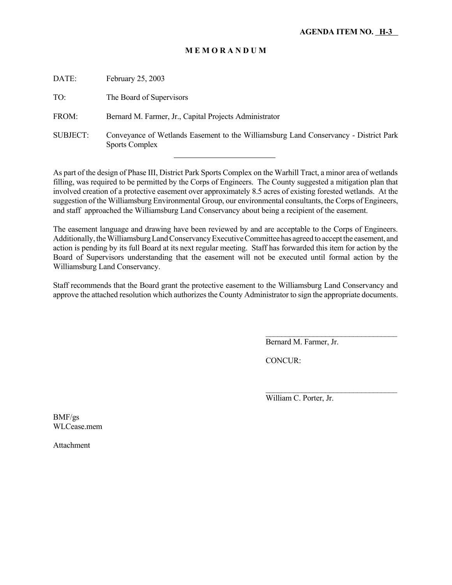| DATE:           | February 25, 2003                                                                                             |
|-----------------|---------------------------------------------------------------------------------------------------------------|
| TO:             | The Board of Supervisors                                                                                      |
| FROM:           | Bernard M. Farmer, Jr., Capital Projects Administrator                                                        |
| <b>SUBJECT:</b> | Conveyance of Wetlands Easement to the Williamsburg Land Conservancy - District Park<br><b>Sports Complex</b> |
|                 |                                                                                                               |

As part of the design of Phase III, District Park Sports Complex on the Warhill Tract, a minor area of wetlands filling, was required to be permitted by the Corps of Engineers. The County suggested a mitigation plan that involved creation of a protective easement over approximately 8.5 acres of existing forested wetlands. At the suggestion of the Williamsburg Environmental Group, our environmental consultants, the Corps of Engineers, and staff approached the Williamsburg Land Conservancy about being a recipient of the easement.

The easement language and drawing have been reviewed by and are acceptable to the Corps of Engineers. Additionally, the Williamsburg Land Conservancy Executive Committee has agreed to accept the easement, and action is pending by its full Board at its next regular meeting. Staff has forwarded this item for action by the Board of Supervisors understanding that the easement will not be executed until formal action by the Williamsburg Land Conservancy.

Staff recommends that the Board grant the protective easement to the Williamsburg Land Conservancy and approve the attached resolution which authorizes the County Administrator to sign the appropriate documents.

Bernard M. Farmer, Jr.

 $\mathcal{L}_\text{max}$ 

CONCUR:

William C. Porter, Jr.

BMF/gs WLCease.mem

Attachment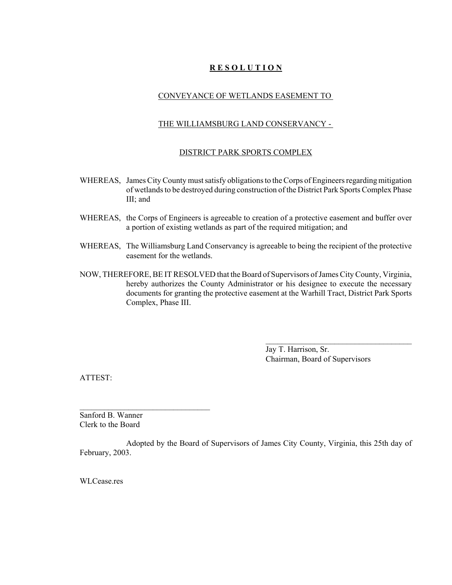### **R E S O L U T I O N**

### CONVEYANCE OF WETLANDS EASEMENT TO

### THE WILLIAMSBURG LAND CONSERVANCY -

### DISTRICT PARK SPORTS COMPLEX

- WHEREAS, James City County must satisfy obligations to the Corps of Engineers regarding mitigation of wetlands to be destroyed during construction of the District Park Sports Complex Phase III; and
- WHEREAS, the Corps of Engineers is agreeable to creation of a protective easement and buffer over a portion of existing wetlands as part of the required mitigation; and
- WHEREAS, The Williamsburg Land Conservancy is agreeable to being the recipient of the protective easement for the wetlands.
- NOW, THEREFORE, BE IT RESOLVED that the Board of Supervisors of James City County, Virginia, hereby authorizes the County Administrator or his designee to execute the necessary documents for granting the protective easement at the Warhill Tract, District Park Sports Complex, Phase III.

Jay T. Harrison, Sr. Chairman, Board of Supervisors

 $\overline{\phantom{a}}$  , where  $\overline{\phantom{a}}$  , where  $\overline{\phantom{a}}$  , where  $\overline{\phantom{a}}$  , where  $\overline{\phantom{a}}$ 

ATTEST:

Sanford B. Wanner Clerk to the Board

 $\mathcal{L}_\text{max}$ 

Adopted by the Board of Supervisors of James City County, Virginia, this 25th day of February, 2003.

WLCease res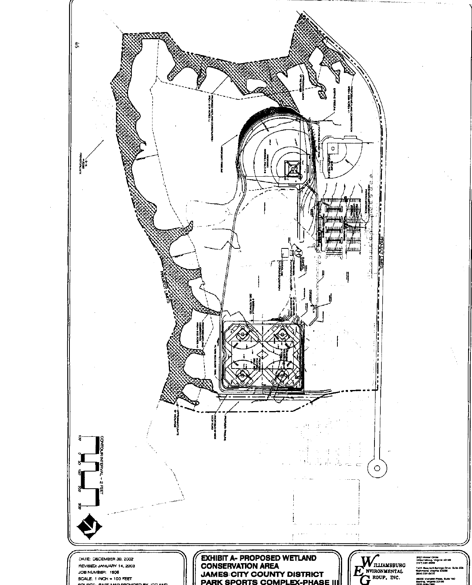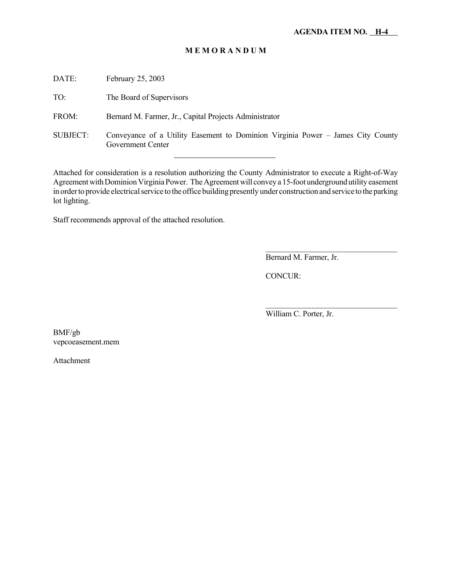DATE: February 25, 2003

TO: The Board of Supervisors

FROM: Bernard M. Farmer, Jr., Capital Projects Administrator

l

SUBJECT: Conveyance of a Utility Easement to Dominion Virginia Power – James City County Government Center

Attached for consideration is a resolution authorizing the County Administrator to execute a Right-of-Way Agreement with Dominion Virginia Power. The Agreement will convey a 15-foot underground utility easement in order to provide electrical service to the office building presently under construction and service to the parking lot lighting.

Staff recommends approval of the attached resolution.

Bernard M. Farmer, Jr.

 $\mathcal{L}_\text{max}$  and  $\mathcal{L}_\text{max}$  and  $\mathcal{L}_\text{max}$  and  $\mathcal{L}_\text{max}$ 

 $\mathcal{L}_\text{max}$ 

CONCUR:

William C. Porter, Jr.

BMF/gb vepcoeasement.mem

Attachment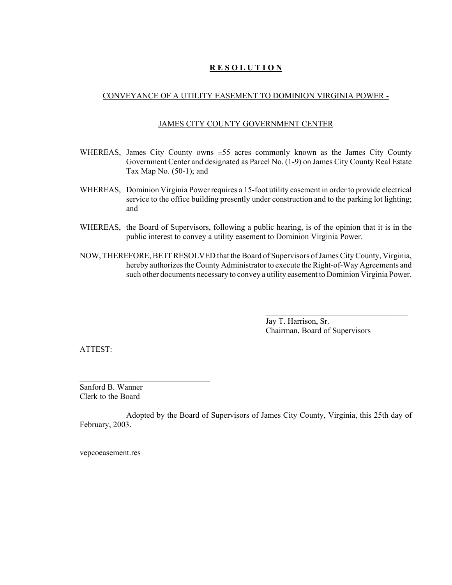### **R E S O L U T I O N**

### CONVEYANCE OF A UTILITY EASEMENT TO DOMINION VIRGINIA POWER -

### JAMES CITY COUNTY GOVERNMENT CENTER

- WHEREAS, James City County owns ±55 acres commonly known as the James City County Government Center and designated as Parcel No. (1-9) on James City County Real Estate Tax Map No. (50-1); and
- WHEREAS, Dominion Virginia Power requires a 15-foot utility easement in order to provide electrical service to the office building presently under construction and to the parking lot lighting; and
- WHEREAS, the Board of Supervisors, following a public hearing, is of the opinion that it is in the public interest to convey a utility easement to Dominion Virginia Power.
- NOW, THEREFORE, BE IT RESOLVED that the Board of Supervisors of James City County, Virginia, hereby authorizes the County Administrator to execute the Right-of-Way Agreements and such other documents necessary to convey a utility easement to Dominion Virginia Power.

Jay T. Harrison, Sr. Chairman, Board of Supervisors

 $\mathcal{L}_\text{max}$ 

ATTEST:

Sanford B. Wanner Clerk to the Board

Adopted by the Board of Supervisors of James City County, Virginia, this 25th day of February, 2003.

vepcoeasement.res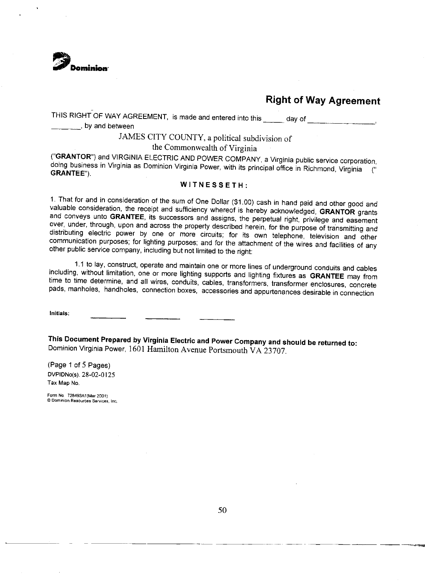

THIS RIGHT OF WAY AGREEMENT, is made and entered into this entitled and of by and between

## JAMES CITY COUNTY, a political subdivision of

### the Commonwealth of Virginia

("GRANTOR") and VIRGINIA ELECTRIC AND POWER COMPANY, a Virginia public service corporation, doing business in Virginia as Dominion Virginia Power, with its principal office in Richmond, Virginia  $\epsilon$ **GRANTEE").** 

### WITNESSETH:

1. That for and in consideration of the sum of One Dollar (\$1.00) cash in hand paid and other good and valuable consideration, the receipt and sufficiency whereof is hereby acknowledged, GRANTOR grants and conveys unto GRANTEE, its successors and assigns, the perpetual right, privilege and easement over, under, through, upon and across the property described herein, for the purpose of transmitting and distributing electric power by one or more circuits; for its own telephone, television and other communication purposes; for lighting purposes; and for the attachment of the wires and facilities of any other public service company, including but not limited to the right:

1.1 to lay, construct, operate and maintain one or more lines of underground conduits and cables including, without limitation, one or more lighting supports and lighting fixtures as GRANTEE may from time to time determine, and all wires, conduits, cables, transformers, transformer enclosures, concrete pads, manholes, handholes, connection boxes, accessories and appurtenances desirable in connection

Initials:

This Document Prepared by Virginia Electric and Power Company and should be returned to: Dominion Virginia Power, 1601 Hamilton Avenue Portsmouth VA 23707.

(Page 1 of 5 Pages) DVPIDNo(s). 28-02-0125 Tax Map No.

Form No. 728493A1(Mar 2001) C Dominion Resources Services, Inc.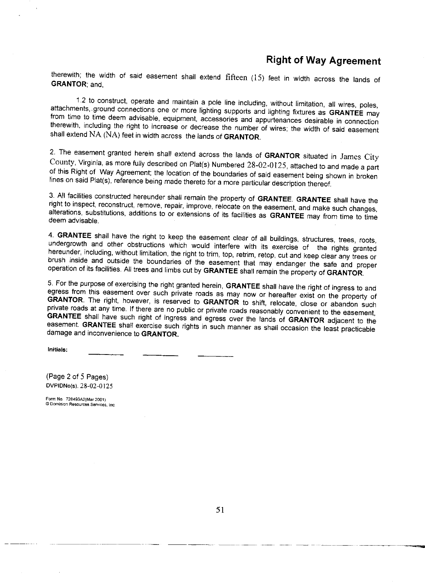therewith; the width of said easement shall extend fifteen (15) feet in width across the lands of **GRANTOR** and.

1.2 to construct, operate and maintain a pole line including, without limitation, all wires, poles, attachments, ground connections one or more lighting supports and lighting fixtures as GRANTEE may from time to time deem advisable, equipment, accessories and appurtenances desirable in connection therewith, including the right to increase or decrease the number of wires; the width of said easement shall extend NA (NA) feet in width across the lands of GRANTOR.

2. The easement granted herein shall extend across the lands of GRANTOR situated in James City County, Virginia, as more fully described on Plat(s) Numbered 28-02-0125, attached to and made a part of this Right of Way Agreement; the location of the boundaries of said easement being shown in broken lines on said Plat(s), reference being made thereto for a more particular description thereof.

3. All facilities constructed hereunder shall remain the property of GRANTEE. GRANTEE shall have the right to inspect, reconstruct, remove, repair, improve, relocate on the easement, and make such changes, alterations, substitutions, additions to or extensions of its facilities as GRANTEE may from time to time deem advisable.

4. GRANTEE shall have the right to keep the easement clear of all buildings, structures, trees, roots, undergrowth and other obstructions which would interfere with its exercise of the rights granted hereunder, including, without limitation, the right to trim, top, retrim, retop, cut and keep clear any trees or brush inside and outside the boundaries of the easement that may endanger the safe and proper operation of its facilities. All trees and limbs cut by GRANTEE shall remain the property of GRANTOR.

5. For the purpose of exercising the right granted herein, GRANTEE shall have the right of ingress to and egress from this easement over such private roads as may now or hereafter exist on the property of GRANTOR. The right, however, is reserved to GRANTOR to shift, relocate, close or abandon such private roads at any time. If there are no public or private roads reasonably convenient to the easement, GRANTEE shall have such right of ingress and egress over the lands of GRANTOR adjacent to the easement. GRANTEE shall exercise such rights in such manner as shall occasion the least practicable damage and inconvenience to GRANTOR.

Initials:

(Page 2 of 5 Pages) DVPIDNo(s). 28-02-0125

Form No. 728493A2(Mar 2001) © Dominion Resources Services, Inc.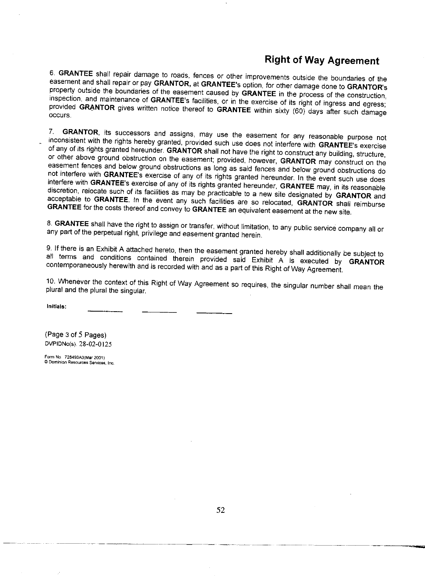6. GRANTEE shall repair damage to roads, fences or other improvements outside the boundaries of the easement and shall repair or pay GRANTOR, at GRANTEE's option, for other damage done to GRANTOR's property outside the boundaries of the easement caused by GRANTEE in the process of the construction, inspection, and maintenance of GRANTEE's facilities, or in the exercise of its right of ingress and egress; provided GRANTOR gives written notice thereof to GRANTEE within sixty (60) days after such damage occurs.

GRANTOR, its successors and assigns, may use the easement for any reasonable purpose not  $7$ inconsistent with the rights hereby granted, provided such use does not interfere with GRANTEE's exercise of any of its rights granted hereunder. GRANTOR shall not have the right to construct any building, structure, or other above ground obstruction on the easement; provided, however, GRANTOR may construct on the easement fences and below ground obstructions as long as said fences and below ground obstructions do not interfere with GRANTEE's exercise of any of its rights granted hereunder. In the event such use does interfere with GRANTEE's exercise of any of its rights granted hereunder, GRANTEE may, in its reasonable discretion, relocate such of its facilities as may be practicable to a new site designated by GRANTOR and acceptable to GRANTEE. In the event any such facilities are so relocated, GRANTOR shall reimburse GRANTEE for the costs thereof and convey to GRANTEE an equivalent easement at the new site.

8. GRANTEE shall have the right to assign or transfer, without limitation, to any public service company all or any part of the perpetual right, privilege and easement granted herein.

9. If there is an Exhibit A attached hereto, then the easement granted hereby shall additionally be subject to all terms and conditions contained therein provided said Exhibit A is executed by GRANTOR contemporaneously herewith and is recorded with and as a part of this Right of Way Agreement.

10. Whenever the context of this Right of Way Agreement so requires, the singular number shall mean the plural and the plural the singular.

Initials:

(Page 3 of 5 Pages) DVPIDNo(s). 28-02-0125

Form No. 728493A3(Mar 2001) C Dominion Resources Services, Inc.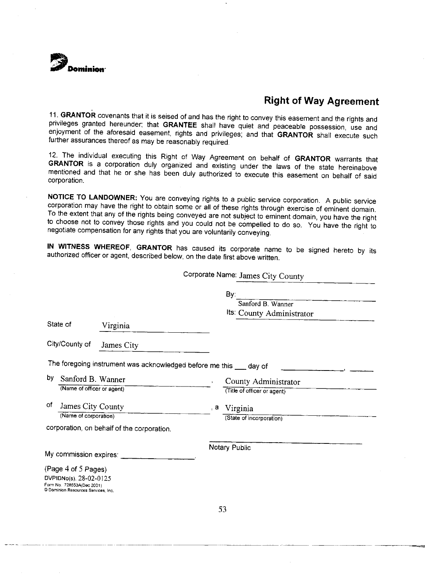

11. GRANTOR covenants that it is seised of and has the right to convey this easement and the rights and privileges granted hereunder; that GRANTEE shall have quiet and peaceable possession, use and enjoyment of the aforesaid easement, rights and privileges; and that GRANTOR shall execute such further assurances thereof as may be reasonably required.

12. The individual executing this Right of Way Agreement on behalf of GRANTOR warrants that GRANTOR is a corporation duly organized and existing under the laws of the state hereinabove mentioned and that he or she has been duly authorized to execute this easement on behalf of said corporation.

NOTICE TO LANDOWNER: You are conveying rights to a public service corporation. A public service corporation may have the right to obtain some or all of these rights through exercise of eminent domain. To the extent that any of the rights being conveyed are not subject to eminent domain, you have the right to choose not to convey those rights and you could not be compelled to do so. You have the right to negotiate compensation for any rights that you are voluntarily conveying.

IN WITNESS WHEREOF, GRANTOR has caused its corporate name to be signed hereto by its authorized officer or agent, described below, on the date first above written.

Corporate Name: James City County

|                                               |                                            | By:                                                                |
|-----------------------------------------------|--------------------------------------------|--------------------------------------------------------------------|
|                                               |                                            | Sanford B. Wanner                                                  |
|                                               |                                            | Its: County Administrator                                          |
| State of                                      | Virginia                                   |                                                                    |
| City/County of                                | James City                                 |                                                                    |
|                                               |                                            | The foregoing instrument was acknowledged before me this __ day of |
| by<br>Sanford B. Wanner                       |                                            | County Administrator<br>$\mathbf{r}$                               |
| (Name of officer or agent)                    |                                            | (Title of officer or agent)                                        |
| 0f.<br>James City County                      |                                            | Virginia<br>, а                                                    |
| (Name of corporation)                         |                                            | (State of incorporation)                                           |
|                                               | corporation, on behalf of the corporation. |                                                                    |
| My commission expires: _                      |                                            | Notary Public                                                      |
|                                               |                                            |                                                                    |
| (Page 4 of 5 Pages)<br>DVPIDNo(s). 28-02-0125 |                                            |                                                                    |
| Form No. 728553A(Dec 2001)                    |                                            |                                                                    |
| Dominion Resources Services, Inc.             |                                            |                                                                    |
|                                               |                                            |                                                                    |